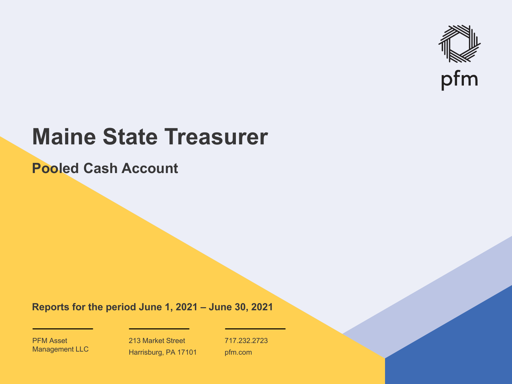

# **Maine State Treasurer**

**Pooled Cash Account**

**Reports for the period June 1, 2021 – June 30, 2021**

PFM Asset Management LLC

213 Market Street Harrisburg, PA 17101 717.232.2723 pfm.com

 $\mathcal{P}_\text{max}$  and  $\mathcal{P}_\text{max}$  is the probability of  $\mathcal{P}_\text{max}$  and  $\mathcal{P}_\text{max}$  and  $\mathcal{P}_\text{max}$  and  $\mathcal{P}_\text{max}$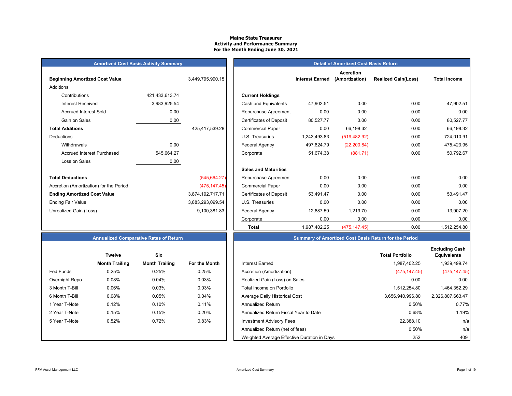#### **Maine State Treasurer Activity and Performance Summary For the Month Ending June 30, 2021**

# **Amortized Cost Basis Activity Summary**<br> **Amortized Cost Basis Return**

| <b>Beginning Amortized Cost Value</b>   |                | 3,449,795,990.15 | <b>Interest Earned</b>                      |
|-----------------------------------------|----------------|------------------|---------------------------------------------|
| Additions                               |                |                  |                                             |
| Contributions                           | 421,433,613.74 |                  | <b>Current Holdings</b>                     |
| <b>Interest Received</b>                | 3,983,925.54   |                  | Cash and Equivalents<br>47,902.51           |
| <b>Accrued Interest Sold</b>            | 0.00           |                  | 0.00<br>Repurchase Agreement                |
| Gain on Sales                           | 0.00           |                  | 80,527.77<br><b>Certificates of Deposit</b> |
| <b>Total Additions</b>                  |                | 425,417,539.28   | 0.00<br><b>Commercial Paper</b>             |
| Deductions                              |                |                  | U.S. Treasuries<br>1,243,493.83             |
| Withdrawals                             | 0.00           |                  | Federal Agency<br>497,624.79                |
| Accrued Interest Purchased              | 545,664.27     |                  | 51,674.38<br>Corporate                      |
| Loss on Sales                           | 0.00           |                  |                                             |
|                                         |                |                  | <b>Sales and Maturities</b>                 |
| <b>Total Deductions</b>                 |                | (545, 664.27)    | 0.00<br>Repurchase Agreement                |
| Accretion (Amortization) for the Period |                | (475, 147.45)    | 0.00<br><b>Commercial Paper</b>             |
| <b>Ending Amortized Cost Value</b>      |                | 3,874,192,717.71 | <b>Certificates of Deposit</b><br>53,491.47 |
| <b>Ending Fair Value</b>                |                | 3,883,293,099.54 | 0.00<br>U.S. Treasuries                     |
| Unrealized Gain (Loss)                  |                | 9,100,381.83     | <b>Federal Agency</b><br>12,687.50          |
|                                         |                |                  |                                             |

|                | 3,449,795,990.15 |                                | <b>Interest Earned</b> | <b>Accretion</b><br>(Amortization) | <b>Realized Gain(Loss)</b> | <b>Total Income</b> |
|----------------|------------------|--------------------------------|------------------------|------------------------------------|----------------------------|---------------------|
|                |                  |                                |                        |                                    |                            |                     |
| 421,433,613.74 |                  | <b>Current Holdings</b>        |                        |                                    |                            |                     |
| 3,983,925.54   |                  | Cash and Equivalents           | 47,902.51              | 0.00                               | 0.00                       | 47,902.51           |
| 0.00           |                  | Repurchase Agreement           | 0.00                   | 0.00                               | 0.00                       | 0.00                |
| 0.00           |                  | <b>Certificates of Deposit</b> | 80,527.77              | 0.00                               | 0.00                       | 80,527.77           |
|                | 425,417,539.28   | <b>Commercial Paper</b>        | 0.00                   | 66,198.32                          | 0.00                       | 66,198.32           |
|                |                  | U.S. Treasuries                | 1,243,493.83           | (519, 482.92)                      | 0.00                       | 724,010.91          |
| 0.00           |                  | Federal Agency                 | 497,624.79             | (22, 200.84)                       | 0.00                       | 475,423.95          |
| 545,664.27     |                  | Corporate                      | 51,674.38              | (881.71)                           | 0.00                       | 50,792.67           |
| 0.00           |                  |                                |                        |                                    |                            |                     |
|                |                  | <b>Sales and Maturities</b>    |                        |                                    |                            |                     |
|                | (545, 664.27)    | Repurchase Agreement           | 0.00                   | 0.00                               | 0.00                       | 0.00                |
|                | (475, 147.45)    | <b>Commercial Paper</b>        | 0.00                   | 0.00                               | 0.00                       | 0.00                |
|                | 3,874,192,717.71 | <b>Certificates of Deposit</b> | 53,491.47              | 0.00                               | 0.00                       | 53,491.47           |
|                | 3,883,293,099.54 | U.S. Treasuries                | 0.00                   | 0.00                               | 0.00                       | 0.00                |
|                | 9,100,381.83     | Federal Agency                 | 12,687.50              | 1,219.70                           | 0.00                       | 13,907.20           |
|                |                  | Corporate                      | 0.00                   | 0.00                               | 0.00                       | 0.00                |
|                |                  | <b>Total</b>                   | 1,987,402.25           | (475, 147.45)                      | 0.00                       | 1,512,254.80        |
|                |                  |                                |                        |                                    |                            |                     |

# **Annualized Comparative Rates of Return**

|                | <b>Twelve</b>         | Six                   |                      |
|----------------|-----------------------|-----------------------|----------------------|
|                | <b>Month Trailing</b> | <b>Month Trailing</b> | <b>For the Month</b> |
| Fed Funds      | 0.25%                 | 0.25%                 | 0.25%                |
| Overnight Repo | 0.08%                 | 0.04%                 | 0.03%                |
| 3 Month T-Bill | 0.06%                 | 0.03%                 | 0.03%                |
| 6 Month T-Bill | 0.08%                 | 0.05%                 | 0.04%                |
| 1 Year T-Note  | 0.12%                 | 0.10%                 | 0.11%                |
| 2 Year T-Note  | 0.15%                 | 0.15%                 | 0.20%                |
| 5 Year T-Note  | 0.52%                 | 0.72%                 | 0.83%                |
|                |                       |                       |                      |
|                |                       |                       |                      |

| <b>Summary of Amortized Cost Basis Return for the Period</b> |
|--------------------------------------------------------------|
|--------------------------------------------------------------|

|                  | <b>Twelve</b>         | Six                   |               |                                             | <b>Total Portfolio</b> | <b>Excluding Cash</b><br><b>Equivalents</b> |
|------------------|-----------------------|-----------------------|---------------|---------------------------------------------|------------------------|---------------------------------------------|
|                  | <b>Month Trailing</b> | <b>Month Trailing</b> | For the Month | Interest Earned                             | 1,987,402.25           | 1,939,499.74                                |
| <b>Fed Funds</b> | 0.25%                 | 0.25%                 | 0.25%         | Accretion (Amortization)                    | (475, 147.45)          | (475, 147.45)                               |
| Overnight Repo   | 0.08%                 | 0.04%                 | 0.03%         | Realized Gain (Loss) on Sales               | 0.00                   | 0.00                                        |
| 3 Month T-Bill   | 0.06%                 | 0.03%                 | 0.03%         | Total Income on Portfolio                   | 1,512,254.80           | 1,464,352.29                                |
| 6 Month T-Bill   | 0.08%                 | 0.05%                 | $0.04\%$      | Average Daily Historical Cost               | 3,656,940,996.80       | 2,326,807,663.47                            |
| 1 Year T-Note    | 0.12%                 | 0.10%                 | 0.11%         | <b>Annualized Return</b>                    | 0.50%                  | 0.77%                                       |
| 2 Year T-Note    | 0.15%                 | 0.15%                 | 0.20%         | Annualized Return Fiscal Year to Date       | 0.68%                  | 1.19%                                       |
| 5 Year T-Note    | 0.52%                 | 0.72%                 | 0.83%         | <b>Investment Advisory Fees</b>             | 22.388.10              | n/a                                         |
|                  |                       |                       |               | Annualized Return (net of fees)             | 0.50%                  | n/a                                         |
|                  |                       |                       |               | Weighted Average Effective Duration in Days | 252                    | 409                                         |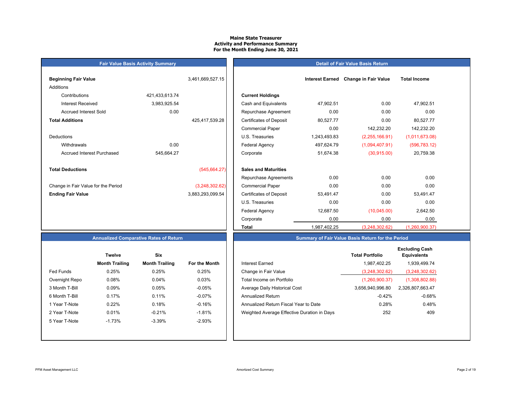#### **Maine State Treasurer Activity and Performance Summary For the Month Ending June 30, 2021**

#### **Detail of Fair Value Basis Return**

| <b>Beginning Fair Value</b>         |                | 3,461,669,527.15 |                                |
|-------------------------------------|----------------|------------------|--------------------------------|
| Additions                           |                |                  |                                |
| Contributions                       | 421,433,613.74 |                  | <b>Current Holdings</b>        |
| Interest Received                   | 3,983,925.54   |                  | Cash and Equivalents           |
| <b>Accrued Interest Sold</b>        | 0.00           |                  | Repurchase Agreeme             |
| <b>Total Additions</b>              |                | 425,417,539.28   | <b>Certificates of Deposit</b> |
|                                     |                |                  | <b>Commercial Paper</b>        |
| Deductions                          |                |                  | U.S. Treasuries                |
| Withdrawals                         | 0.00           |                  | <b>Federal Agency</b>          |
| Accrued Interest Purchased          | 545,664.27     |                  | Corporate                      |
|                                     |                |                  |                                |
| <b>Total Deductions</b>             |                | (545, 664.27)    | <b>Sales and Maturities</b>    |
|                                     |                |                  | Repurchase Agreeme             |
| Change in Fair Value for the Period |                | (3,248,302.62)   | <b>Commercial Paper</b>        |
| <b>Ending Fair Value</b>            |                | 3,883,293,099.54 | <b>Certificates of Deposit</b> |
|                                     |                |                  | <b>U.S. Treasuries</b>         |

**Fair Value Basis Activity Summary**

| Beginning Fair Value                |                | 3,461,669,527.15 |                                | <b>Interest Earned</b> | <b>Change in Fair Value</b> | <b>Total Income</b> |  |
|-------------------------------------|----------------|------------------|--------------------------------|------------------------|-----------------------------|---------------------|--|
| Additions                           |                |                  |                                |                        |                             |                     |  |
| Contributions                       | 421,433,613.74 |                  | <b>Current Holdings</b>        |                        |                             |                     |  |
| <b>Interest Received</b>            | 3,983,925.54   |                  | Cash and Equivalents           | 47,902.51              | 0.00                        | 47,902.51           |  |
| <b>Accrued Interest Sold</b>        | 0.00           |                  | Repurchase Agreement           | 0.00                   | 0.00                        | 0.00                |  |
| <b>Total Additions</b>              |                | 425,417,539.28   | <b>Certificates of Deposit</b> | 80,527.77              | 0.00                        | 80,527.77           |  |
|                                     |                |                  | <b>Commercial Paper</b>        | 0.00                   | 142,232.20                  | 142,232.20          |  |
| Deductions                          |                |                  | U.S. Treasuries                | 1,243,493.83           | (2,255,166.91)              | (1,011,673.08)      |  |
| Withdrawals                         | 0.00           |                  | <b>Federal Agency</b>          | 497,624.79             | (1,094,407.91)              | (596, 783.12)       |  |
| <b>Accrued Interest Purchased</b>   | 545,664.27     |                  | Corporate                      | 51,674.38              | (30,915.00)                 | 20,759.38           |  |
| <b>Total Deductions</b>             |                | (545, 664.27)    | <b>Sales and Maturities</b>    |                        |                             |                     |  |
|                                     |                |                  | Repurchase Agreements          | 0.00                   | 0.00                        | 0.00                |  |
| Change in Fair Value for the Period |                | (3,248,302.62)   | <b>Commercial Paper</b>        | 0.00                   | 0.00                        | 0.00                |  |
| <b>Ending Fair Value</b>            |                | 3,883,293,099.54 | <b>Certificates of Deposit</b> | 53,491.47              | 0.00                        | 53,491.47           |  |
|                                     |                |                  | U.S. Treasuries                | 0.00                   | 0.00                        | 0.00                |  |
|                                     |                |                  | <b>Federal Agency</b>          | 12,687.50              | (10,045.00)                 | 2,642.50            |  |
|                                     |                |                  | Corporate                      | 0.00                   | 0.00                        | 0.00                |  |
|                                     |                |                  | Total                          | 1,987,402.25           | (3,248,302.62)              | (1,260,900.37)      |  |

# **Annualized Comparative Rates of Return**

|                | <b>Twelve</b>         | Six                   |               |
|----------------|-----------------------|-----------------------|---------------|
|                | <b>Month Trailing</b> | <b>Month Trailing</b> | For the Month |
| Fed Funds      | 0.25%                 | 0.25%                 | 0.25%         |
| Overnight Repo | 0.08%                 | 0.04%                 | 0.03%         |
| 3 Month T-Bill | 0.09%                 | 0.05%                 | $-0.05%$      |
| 6 Month T-Bill | 0.17%                 | 0.11%                 | $-0.07%$      |
| 1 Year T-Note  | 0.22%                 | 0.18%                 | $-0.16%$      |
| 2 Year T-Note  | 0.01%                 | $-0.21%$              | $-1.81%$      |
| 5 Year T-Note  | $-1.73%$              | $-3.39%$              | $-2.93%$      |
|                |                       |                       |               |
|                |                       |                       |               |

| <b>Six</b><br><b>Twelve</b>                                                                   | <b>Total Portfolio</b><br>1,987,402.25<br>(3,248,302.62) | <b>Excluding Cash</b><br><b>Equivalents</b><br>1,939,499.74 |
|-----------------------------------------------------------------------------------------------|----------------------------------------------------------|-------------------------------------------------------------|
|                                                                                               |                                                          |                                                             |
| <b>Month Trailing</b><br><b>Month Trailing</b><br>For the Month<br>Interest Earned            |                                                          |                                                             |
| <b>Fed Funds</b><br>Change in Fair Value<br>0.25%<br>0.25%<br>0.25%                           |                                                          | (3,248,302.62)                                              |
| 0.03%<br>Overnight Repo<br>0.08%<br>0.04%<br>Total Income on Portfolio                        | (1,260,900.37)                                           | (1,308,802.88)                                              |
| $-0.05%$<br>3 Month T-Bill<br>Average Daily Historical Cost<br>0.09%<br>0.05%                 | 3,656,940,996.80                                         | 2,326,807,663.47                                            |
| $-0.07\%$<br>6 Month T-Bill<br>0.17%<br>0.11%<br><b>Annualized Return</b>                     | $-0.42%$                                                 | $-0.68%$                                                    |
| $-0.16%$<br>1 Year T-Note<br>0.22%<br>0.18%<br>Annualized Return Fiscal Year to Date          | 0.28%                                                    | 0.48%                                                       |
| $-1.81%$<br>$-0.21%$<br>0.01%<br>2 Year T-Note<br>Weighted Average Effective Duration in Days | 252                                                      | 409                                                         |
| $-2.93%$<br>$-3.39%$<br>$-1.73%$<br>5 Year T-Note                                             |                                                          |                                                             |
|                                                                                               |                                                          |                                                             |

**Summary of Fair Value Basis Return for the Period**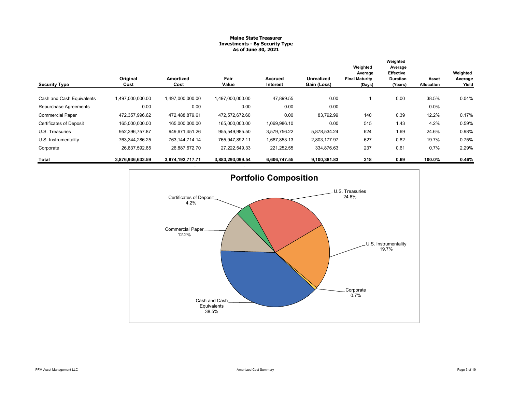#### **Maine State Treasurer Investments - By Security Type As of June 30, 2021**

|                                |                  |                   |                  |                     |                           | Weighted                                   | Weighted<br>Average                     |                     |                              |
|--------------------------------|------------------|-------------------|------------------|---------------------|---------------------------|--------------------------------------------|-----------------------------------------|---------------------|------------------------------|
| <b>Security Type</b>           | Original<br>Cost | Amortized<br>Cost | Fair<br>Value    | Accrued<br>Interest | Unrealized<br>Gain (Loss) | Average<br><b>Final Maturity</b><br>(Days) | Effective<br><b>Duration</b><br>(Years) | Asset<br>Allocation | Weighted<br>Average<br>Yield |
| Cash and Cash Equivalents      | 1,497,000,000.00 | 1,497,000,000.00  | 1.497.000.000.00 | 47,899.55           | 0.00                      |                                            | 0.00                                    | 38.5%               | 0.04%                        |
| Repurchase Agreements          | 0.00             | 0.00              | 0.00             | 0.00                | 0.00                      |                                            |                                         | $0.0\%$             |                              |
| <b>Commercial Paper</b>        | 472.357.996.62   | 472.488.879.61    | 472.572.672.60   | 0.00                | 83,792.99                 | 140                                        | 0.39                                    | 12.2%               | 0.17%                        |
| <b>Certificates of Deposit</b> | 165,000,000.00   | 165,000,000.00    | 165,000,000.00   | 1,069,986.10        | 0.00                      | 515                                        | 1.43                                    | 4.2%                | 0.59%                        |
| U.S. Treasuries                | 952,396,757.87   | 949,671,451.26    | 955,549,985.50   | 3,579,756.22        | 5,878,534.24              | 624                                        | 1.69                                    | 24.6%               | 0.98%                        |
| U.S. Instrumentality           | 763,344,286.25   | 763.144.714.14    | 765,947,892.11   | 1,687,853.13        | 2,803,177.97              | 627                                        | 0.82                                    | 19.7%               | 0.75%                        |
| Corporate                      | 26,837,592.85    | 26,887,672.70     | 27,222,549.33    | 221,252.55          | 334,876.63                | 237                                        | 0.61                                    | 0.7%                | 2.29%                        |
| Total                          | 3,876,936,633.59 | 3,874,192,717.71  | 3,883,293,099.54 | 6,606,747.55        | 9,100,381.83              | 318                                        | 0.69                                    | 100.0%              | 0.46%                        |

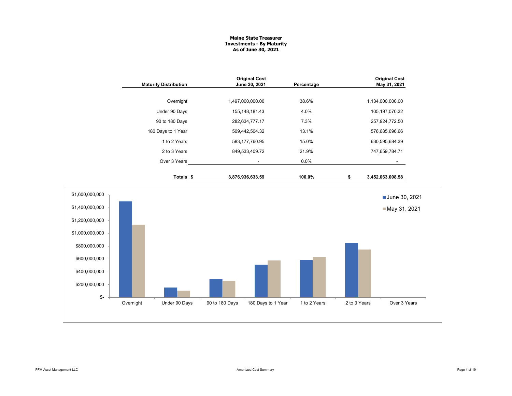#### **Maine State Treasurer Investments - By Maturity As of June 30, 2021**

|                                                                                           |           | <b>Maturity Distribution</b> | <b>Original Cost</b><br>June 30, 2021 |                          | Percentage   |              | <b>Original Cost</b><br>May 31, 2021 |  |
|-------------------------------------------------------------------------------------------|-----------|------------------------------|---------------------------------------|--------------------------|--------------|--------------|--------------------------------------|--|
|                                                                                           |           | Overnight                    | 1,497,000,000.00                      |                          | 38.6%        |              | 1,134,000,000.00                     |  |
|                                                                                           |           | Under 90 Days                | 155, 148, 181. 43                     |                          | 4.0%         |              | 105, 197, 070.32                     |  |
|                                                                                           |           | 90 to 180 Days               | 282,634,777.17                        |                          | 7.3%         |              | 257,924,772.50                       |  |
|                                                                                           |           | 180 Days to 1 Year           | 509,442,504.32                        |                          | 13.1%        |              | 576,685,696.66                       |  |
|                                                                                           |           | 1 to 2 Years                 | 583, 177, 760. 95                     |                          | 15.0%        |              | 630,595,684.39                       |  |
|                                                                                           |           | 2 to 3 Years                 | 849,533,409.72                        |                          | 21.9%        |              | 747,659,784.71                       |  |
|                                                                                           |           | Over 3 Years                 |                                       | $\overline{\phantom{a}}$ | 0.0%         |              | ۰.                                   |  |
|                                                                                           |           | Totals <sub>\$</sub>         | 3,876,936,633.59                      |                          | 100.0%       | \$           | 3,452,063,008.58                     |  |
| \$1,600,000,000<br>\$1,400,000,000<br>\$1,200,000,000<br>\$1,000,000,000<br>\$800,000,000 |           |                              |                                       |                          |              |              | June 30, 2021<br>May 31, 2021        |  |
| \$600,000,000<br>\$400,000,000<br>\$200,000,000<br>\$-                                    |           |                              |                                       |                          |              |              |                                      |  |
|                                                                                           | Overnight | Under 90 Days                | 90 to 180 Days                        | 180 Days to 1 Year       | 1 to 2 Years | 2 to 3 Years | Over 3 Years                         |  |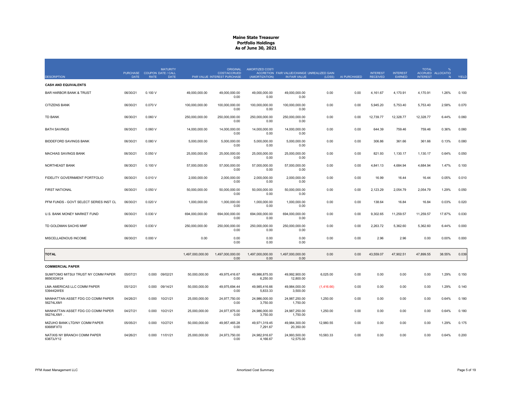|                                                  |             | PURCHASE COUPON DATE / CALL | <b>MATURITY</b> |                  | <b>ORIGINAL</b><br><b>COST/ACCRUED</b> | AMORTIZED COST/           | ACCRETION FAIR VALUE/CHANGE UNREALIZED GAIN |            |              | <b>INTEREST</b> | <b>INTEREST</b> | <b>TOTAL</b>    | ACCRUED ALLOCATIO |       |
|--------------------------------------------------|-------------|-----------------------------|-----------------|------------------|----------------------------------------|---------------------------|---------------------------------------------|------------|--------------|-----------------|-----------------|-----------------|-------------------|-------|
| <b>DESCRIPTION</b>                               | <b>DATE</b> | <b>RATE</b>                 | <b>DATE</b>     |                  | PAR VALUE INTEREST PURCHASE            | (AMORTIZATION)            | IN FAIR VALUE                               | (LOSS)     | AI PURCHASED | <b>RECEIVED</b> | EARNED          | <b>INTEREST</b> | N                 | YIELD |
| <b>CASH AND EQUIVALENTS</b>                      |             |                             |                 |                  |                                        |                           |                                             |            |              |                 |                 |                 |                   |       |
| <b>BAR HARBOR BANK &amp; TRUST</b>               | 06/30/21    | 0.100V                      |                 | 49,000,000.00    | 49,000,000.00<br>0.00                  | 49,000,000.00<br>0.00     | 49,000,000.00<br>0.00                       | 0.00       | 0.00         | 4,161.67        | 4,170.91        | 4,170.91        | 1.26%             | 0.100 |
| <b>CITIZENS BANK</b>                             | 06/30/21    | 0.070 V                     |                 | 100,000,000.00   | 100,000,000.00<br>0.00                 | 100,000,000.00<br>0.00    | 100,000,000.00<br>0.00                      | 0.00       | 0.00         | 5,945.20        | 5,753.40        | 5,753.40        | 2.58%             | 0.070 |
| <b>TD BANK</b>                                   | 06/30/21    | 0.060V                      |                 | 250,000,000.00   | 250,000,000.00<br>0.00                 | 250,000,000.00<br>0.00    | 250,000,000.00<br>0.00                      | 0.00       | 0.00         | 12,739.77       | 12,328.77       | 12,328.77       | 6.44%             | 0.060 |
| <b>BATH SAVINGS</b>                              | 06/30/21    | 0.060V                      |                 | 14,000,000.00    | 14,000,000.00<br>0.00                  | 14,000,000.00<br>0.00     | 14,000,000.00<br>0.00                       | 0.00       | 0.00         | 644.39          | 759.46          | 759.46          | 0.36%             | 0.060 |
| <b>BIDDEFORD SAVINGS BANK</b>                    | 06/30/21    | 0.080 V                     |                 | 5,000,000.00     | 5,000,000.00<br>0.00                   | 5,000,000.00<br>0.00      | 5,000,000.00<br>0.00                        | 0.00       | 0.00         | 306.86          | 361.66          | 361.66          | 0.13%             | 0.080 |
| <b>MACHIAS SAVINGS BANK</b>                      | 06/30/21    | 0.050V                      |                 | 25,000,000.00    | 25,000,000.00<br>0.00                  | 25,000,000.00<br>0.00     | 25,000,000.00<br>0.00                       | 0.00       | 0.00         | 821.93          | 1,130.17        | 1,130.17        | 0.64%             | 0.050 |
| <b>NORTHEAST BANK</b>                            | 06/30/21    | 0.100V                      |                 | 57,000,000.00    | 57,000,000.00<br>0.00                  | 57.000.000.00<br>0.00     | 57,000,000.00<br>0.00                       | 0.00       | 0.00         | 4,841.13        | 4,684.94        | 4,684.94        | 1.47%             | 0.100 |
| FIDELITY GOVERNMENT PORTFOLIO                    | 06/30/21    | 0.010V                      |                 | 2,000,000.00     | 2,000,000.00<br>0.00                   | 2.000.000.00<br>0.00      | 2.000.000.00<br>0.00                        | 0.00       | 0.00         | 16.99           | 16.44           | 16.44           | 0.05%             | 0.010 |
| <b>FIRST NATIONAL</b>                            | 06/30/21    | 0.050V                      |                 | 50,000,000.00    | 50,000,000.00<br>0.00                  | 50,000,000.00<br>0.00     | 50,000,000.00<br>0.00                       | 0.00       | 0.00         | 2,123.29        | 2,054.79        | 2,054.79        | 1.29%             | 0.050 |
| PFM FUNDS - GOVT SELECT SERIES INST CL           | 06/30/21    | 0.020V                      |                 | 1,000,000.00     | 1,000,000.00<br>0.00                   | 1,000,000.00<br>0.00      | 1,000,000.00<br>0.00                        | 0.00       | 0.00         | 138.64          | 16.84           | 16.84           | 0.03%             | 0.020 |
| U.S. BANK MONEY MARKET FUND                      | 06/30/21    | 0.030V                      |                 | 694.000.000.00   | 694.000.000.00<br>0.00                 | 694.000.000.00<br>0.00    | 694.000.000.00<br>0.00                      | 0.00       | 0.00         | 9.302.65        | 11,259.57       | 11.259.57       | 17.87%            | 0.030 |
| TD GOLDMAN SACHS MMF                             | 06/30/21    | 0.030V                      |                 | 250,000,000.00   | 250,000,000.00<br>0.00                 | 250,000,000.00<br>0.00    | 250,000,000.00<br>0.00                      | 0.00       | 0.00         | 2,263.72        | 5,362.60        | 5,362.60        | 6.44%             | 0.000 |
| MISCELLAENOUS INCOME                             | 06/30/21    | 0.000V                      |                 | 0.00             | 0.00<br>0.00                           | 0.00<br>0.00              | 0.00<br>0.00                                | 0.00       | 0.00         | 2.96            | 2.96            | 0.00            | 0.00%             | 0.000 |
| <b>TOTAL</b>                                     |             |                             |                 | 1,497,000,000.00 | 1,497,000,000.00<br>0.00               | 1,497,000,000.00<br>0.00  | 1,497,000,000.00<br>0.00                    | 0.00       | 0.00         | 43,559.07       | 47,902.51       | 47,899.55       | 38.55%            | 0.039 |
| <b>COMMERCIAL PAPER</b>                          |             |                             |                 |                  |                                        |                           |                                             |            |              |                 |                 |                 |                   |       |
| SUMITOMO MITSUI TRUST NY COMM PAPER<br>86563GW24 | 05/07/21    | 0.000                       | 09/02/21        | 50,000,000.00    | 49,975,416.67<br>0.00                  | 49,986,875.00<br>6,250.00 | 49,992,900.00<br>12,800.00                  | 6,025.00   | 0.00         | 0.00            | 0.00            | 0.00            | 1.29%             | 0.150 |
| LMA AMERICAS LLC COMM PAPER<br>53944QWE6         | 05/12/21    | 0.000                       | 09/14/21        | 50,000,000.00    | 49,975,694.44<br>0.00                  | 49,985,416.66<br>5,833.33 | 49,984,000.00<br>3,500.00                   | (1,416.66) | 0.00         | 0.00            | 0.00            | 0.00            | 1.29%             | 0.140 |
| MANHATTAN ASSET FDG CO COMM PAPER<br>56274LXM1   | 04/26/21    | 0.000                       | 10/21/21        | 25,000,000.00    | 24,977,750.00<br>0.00                  | 24,986,000.00<br>3,750.00 | 24,987,250.00<br>1,750.00                   | 1,250.00   | 0.00         | 0.00            | 0.00            | 0.00            | 0.64%             | 0.180 |
| MANHATTAN ASSET FDG CO COMM PAPER<br>56274LXM1   | 04/27/21    | 0.000                       | 10/21/21        | 25,000,000.00    | 24,977,875.00<br>0.00                  | 24,986,000.00<br>3,750.00 | 24,987,250.00<br>1,750.00                   | 1,250.00   | 0.00         | 0.00            | 0.00            | 0.00            | 0.64%             | 0.180 |
| MIZUHO BANK LTD/NY COMM PAPER<br>60689FXT0       | 05/05/21    | 0.000                       | 10/27/21        | 50,000,000.00    | 49,957,465.28<br>0.00                  | 49,971,319.45<br>7,291.67 | 49,984,300.00<br>20,350.00                  | 12,980.55  | 0.00         | 0.00            | 0.00            | 0.00            | 1.29%             | 0.175 |
| NATIXIS NY BRANCH COMM PAPER<br>63873JY12        | 04/26/21    |                             | 0.000 11/01/21  | 25,000,000.00    | 24.973.750.00<br>0.00                  | 24.982.916.67<br>4.166.67 | 24.993.500.00<br>12.575.00                  | 10.583.33  | 0.00         | 0.00            | 0.00            | 0.00            | 0.64%             | 0.200 |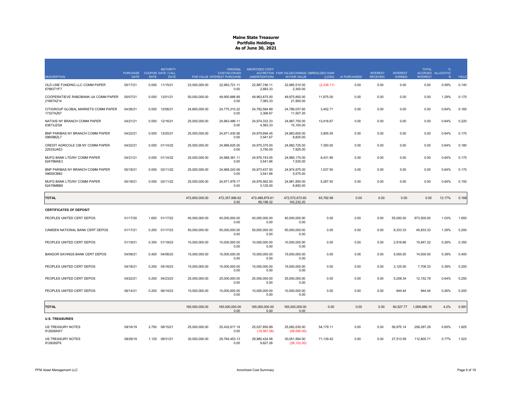| <b>DESCRIPTION</b>                               | <b>PURCHASE</b><br><b>DATE</b> | <b>RATE</b> | <b>MATURITY</b><br><b>COUPON DATE / CALL</b><br><b>DATE</b> |                | <b>ORIGINAL</b><br><b>COST/ACCRUED</b><br>PAR VALUE INTEREST PURCHASE | AMORTIZED COST/<br>(AMORTIZATION) | ACCRETION FAIR VALUE/CHANGE UNREALIZED GAIN<br>IN FAIR VALUE | (LOSS)      | AI PURCHASED | <b>INTEREST</b><br><b>RECEIVED</b> | <b>INTEREST</b><br>EARNED | <b>TOTAL</b><br><b>INTEREST</b> | $\frac{9}{6}$<br>ACCRUED ALLOCATIO<br>N | YIELD |
|--------------------------------------------------|--------------------------------|-------------|-------------------------------------------------------------|----------------|-----------------------------------------------------------------------|-----------------------------------|--------------------------------------------------------------|-------------|--------------|------------------------------------|---------------------------|---------------------------------|-----------------------------------------|-------|
| OLD LINE FUNDING LLC COMM PAPER<br>67983TYF7     | 05/17/21                       | 0.000       | 11/15/21                                                    | 23,000,000.00  | 22,983,721.11<br>0.00                                                 | 22,987,746.11<br>2,683.33         | 22,985,510.00<br>2,300.00                                    | (2, 236.11) | 0.00         | 0.00                               | 0.00                      | 0.00                            | 0.59%                                   | 0.140 |
| COOPERATIEVE RABOBANK UA COMM PAPER<br>21687AZ14 | 05/07/21                       | 0.000       | 12/01/21                                                    | 50,000,000.00  | 49.950.888.89<br>0.00                                                 | 49,963,875.00<br>7,083.33         | 49,975,850.00<br>21,900.00                                   | 11,975.00   | 0.00         | 0.00                               | 0.00                      | 0.00                            | 1.29%                                   | 0.170 |
| CITIGROUP GLOBAL MARKETS COMM PAPER<br>17327AZ67 | 04/26/21                       | 0.000       | 12/06/21                                                    | 24.800.000.00  | 24.775.310.22<br>0.00                                                 | 24.782.584.89<br>3,306.67         | 24.786.037.60<br>11,507.20                                   | 3.452.71    | 0.00         | 0.00                               | 0.00                      | 0.00                            | 0.64%                                   | 0.160 |
| NATIXIS NY BRANCH COMM PAPER<br>63873JZG8        | 04/21/21                       | 0.000       | 12/16/21                                                    | 25,000,000.00  | 24.963.486.11<br>0.00                                                 | 24.974.333.33<br>4,583.33         | 24,987,750.00<br>15,100.00                                   | 13,416.67   | 0.00         | 0.00                               | 0.00                      | 0.00                            | 0.64%                                   | 0.220 |
| BNP PARIBAS NY BRANCH COMM PAPER<br>09659BZL7    | 04/22/21                       | 0.000       | 12/20/21                                                    | 25,000,000.00  | 24,971,430.56<br>0.00                                                 | 24,979,694.45<br>3,541.67         | 24,983,600.00<br>8,825.00                                    | 3,905.55    | 0.00         | 0.00                               | 0.00                      | 0.00                            | 0.64%                                   | 0.170 |
| CREDIT AGRICOLE CIB NY COMM PAPER<br>22533UAE3   | 04/22/21                       |             | 0.000 01/14/22                                              | 25,000,000.00  | 24.966.625.00<br>0.00                                                 | 24.975.375.00<br>3,750.00         | 24.982.725.00<br>7,925.00                                    | 7,350.00    | 0.00         | 0.00                               | 0.00                      | 0.00                            | 0.64%                                   | 0.180 |
| MUFG BANK LTD/NY COMM PAPER<br>62479MAE3         | 04/21/21                       | 0.000       | 01/14/22                                                    | 25.000.000.00  | 24.968.361.11<br>0.00                                                 | 24.976.743.05<br>3,541.66         | 24.985.175.00<br>7.525.00                                    | 8.431.95    | 0.00         | 0.00                               | 0.00                      | 0.00                            | 0.64%                                   | 0.170 |
| BNP PARIBAS NY BRANCH COMM PAPER<br>09659CBB3    | 05/18/21                       | 0.000       | 02/11/22                                                    | 25,000,000.00  | 24,968,243.06<br>0.00                                                 | 24,973,437.50<br>3,541.66         | 24,974,975.00<br>5,575.00                                    | 1,537.50    | 0.00         | 0.00                               | 0.00                      | 0.00                            | 0.64%                                   | 0.170 |
| MUFG BANK LTD/NY COMM PAPER<br>62479MBB8         | 05/18/21                       | 0.000       | 02/11/22                                                    | 25,000,000.00  | 24,971,979.17<br>0.00                                                 | 24,976,562.50<br>3,125.00         | 24,981,850.00<br>8,850.00                                    | 5,287.50    | 0.00         | 0.00                               | 0.00                      | 0.00                            | 0.64%                                   | 0.150 |
| <b>TOTAL</b>                                     |                                |             |                                                             | 472,800,000.00 | 472,357,996.62<br>0.00                                                | 472,488,879.61<br>66,198.32       | 472.572.672.60<br>142,232.20                                 | 83,792.99   | 0.00         | 0.00                               | 0.00                      | 0.00                            | 12.17%                                  | 0.168 |
| <b>CERTIFICATES OF DEPOSIT</b>                   |                                |             |                                                             |                |                                                                       |                                   |                                                              |             |              |                                    |                           |                                 |                                         |       |
| PEOPLES UNITED CERT DEPOS                        | 01/17/20                       |             | 1.650 01/17/22                                              | 40,000,000.00  | 40,000,000.00<br>0.00                                                 | 40,000,000.00<br>0.00             | 40,000,000.00<br>0.00                                        | 0.00        | 0.00         | 0.00                               | 55,000.00                 | 973,500.00                      | 1.03%                                   | 1.650 |
| CAMDEN NATIONAL BANK CERT DEPOS                  | 01/17/21                       | 0.200       | 01/17/23                                                    | 50,000,000.00  | 50,000,000.00<br>0.00                                                 | 50,000,000.00<br>0.00             | 50,000,000.00<br>0.00                                        | 0.00        | 0.00         | 0.00                               | 8,333.33                  | 45,833.33                       | 1.29%                                   | 0.200 |
| PEOPLES UNITED CERT DEPOS                        | 01/19/21                       | 0.350       | 01/19/23                                                    | 10,000,000.00  | 10,000,000.00<br>0.00                                                 | 10,000,000.00<br>0.00             | 10,000,000.00<br>0.00                                        | 0.00        | 0.00         | 0.00                               | 2,916.66                  | 15,847.22                       | 0.26%                                   | 0.350 |
| BANGOR SAVINGS BANK CERT DEPOS                   | 04/08/21                       | 0.400       | 04/08/23                                                    | 15,000,000.00  | 15,000,000.00<br>0.00                                                 | 15,000,000.00<br>0.00             | 15,000,000.00<br>0.00                                        | 0.00        | 0.00         | 0.00                               | 5,000.00                  | 14,000.00                       | 0.39%                                   | 0.400 |
| PEOPLES UNITED CERT DEPOS                        | 04/18/21                       | 0.250       | 04/18/23                                                    | 15,000,000.00  | 15,000,000.00<br>0.00                                                 | 15,000,000.00<br>0.00             | 15,000,000.00<br>0.00                                        | 0.00        | 0.00         | 0.00                               | 3,125.00                  | 7,708.33                        | 0.39%                                   | 0.250 |
| PEOPLES UNITED CERT DEPOS                        | 04/22/21                       |             | 0.250 04/23/23                                              | 25,000,000.00  | 25,000,000.00<br>0.00                                                 | 25,000,000.00<br>0.00             | 25,000,000.00<br>0.00                                        | 0.00        | 0.00         | 0.00                               | 5,208.34                  | 12,152.78                       | 0.64%                                   | 0.250 |
| PEOPLES UNITED CERT DEPOS                        | 06/14/21                       | 0.200       | 06/14/23                                                    | 10,000,000.00  | 10,000,000.00<br>0.00                                                 | 10,000,000.00<br>0.00             | 10,000,000.00<br>0.00                                        | 0.00        | 0.00         | 0.00                               | 944.44                    | 944.44                          | 0.26%                                   | 0.200 |
| <b>TOTAL</b>                                     |                                |             |                                                             | 165,000,000.00 | 165,000,000.00<br>0.00                                                | 165,000,000.00<br>0.00            | 165,000,000.00<br>0.00                                       | 0.00        | 0.00         | 0.00                               | 80,527.77                 | 1,069,986.10                    | 4.2%                                    | 0.591 |
| <b>U.S. TREASURIES</b>                           |                                |             |                                                             |                |                                                                       |                                   |                                                              |             |              |                                    |                           |                                 |                                         |       |
| <b>US TREASURY NOTES</b><br>9128284W7            | 09/16/19                       | 2.750       | 08/15/21                                                    | 25,000,000.00  | 25.432.617.19<br>0.00                                                 | 25,027,850.89<br>(18, 567.26)     | 25,082,030.00<br>(58, 595.00)                                | 54,179.11   | 0.00         | 0.00                               | 56,975.14                 | 258,287.29                      | 0.65%                                   | 1.825 |
| <b>US TREASURY NOTES</b><br>9128282F6            | 08/28/19                       |             | 1.125 08/31/21                                              | 30,000,000.00  | 29,764,453.13<br>0.00                                                 | 29,980,424.58<br>9,627.26         | 30,051,564.00<br>(28, 122.00)                                | 71,139.42   | 0.00         | 0.00                               | 27,513.59                 | 112,805.71                      | 0.77%                                   | 1.523 |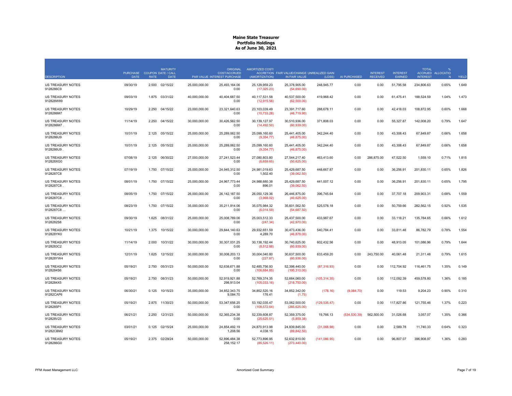| <b>DESCRIPTION</b>                    | <b>PURCHASE</b><br><b>DATE</b> | <b>RATE</b> | <b>MATURITY</b><br><b>COUPON DATE / CALL</b><br><b>DATE</b> |               | <b>ORIGINAL</b><br><b>COST/ACCRUED</b><br>PAR VALUE INTEREST PURCHASE | AMORTIZED COST/<br>(AMORTIZATION) | ACCRETION FAIR VALUE/CHANGE UNREALIZED GAIN<br>IN FAIR VALUE | (LOSS)        | AI PURCHASED | <b>INTEREST</b><br><b>RECEIVED</b> | <b>INTEREST</b><br>EARNED | <b>TOTAL</b><br><b>INTEREST</b> | ACCRUED ALLOCATIO<br>N | YIELD |
|---------------------------------------|--------------------------------|-------------|-------------------------------------------------------------|---------------|-----------------------------------------------------------------------|-----------------------------------|--------------------------------------------------------------|---------------|--------------|------------------------------------|---------------------------|---------------------------------|------------------------|-------|
| US TREASURY NOTES<br>9128286C9        | 09/30/19                       | 2.500       | 02/15/22                                                    | 25,000,000.00 | 25,493,164.06<br>0.00                                                 | 25,129,959.23<br>(17, 025.23)     | 25,378,905.00<br>(54,690.00)                                 | 248,945.77    | 0.00         | 0.00                               | 51,795.58                 | 234,806.63                      | 0.65%                  | 1.649 |
| <b>US TREASURY NOTES</b><br>912828W89 | 09/03/19                       | 1.875       | 03/31/22                                                    | 40,000,000.00 | 40,404,687.50<br>0.00                                                 | 40,117,531.58<br>(12, 915.56)     | 40,537,500.00<br>(62,500.00)                                 | 419,968.42    | 0.00         | 0.00                               | 61,475.41                 | 188,524.59                      | 1.04%                  | 1.473 |
| <b>US TREASURY NOTES</b><br>9128286M7 | 10/29/19                       | 2.250       | 04/15/22                                                    | 23,000,000.00 | 23,321,640.63<br>0.00                                                 | 23,103,039.49<br>(10, 733.28)     | 23,391,717.60<br>(46,719.90)                                 | 288,678.11    | 0.00         | 0.00                               | 42,418.03                 | 108,872.95                      | 0.60%                  | 1.668 |
| US TREASURY NOTES<br>9128286M7.       | 11/14/19                       | 2.250       | 04/15/22                                                    | 30.000.000.00 | 30.426.562.50<br>0.00                                                 | 30.139.127.97<br>(14, 492.50)     | 30,510,936.00<br>(60,939.00)                                 | 371,808.03    | 0.00         | 0.00                               | 55,327.87                 | 142.008.20                      | 0.79%                  | 1.647 |
| US TREASURY NOTES<br>9128286U9        | 10/31/19                       | 2.125       | 05/15/22                                                    | 25,000,000.00 | 25,289,062.50<br>0.00                                                 | 25,099,160.60<br>(9, 354.77)      | 25,441,405.00<br>(46,875.00)                                 | 342,244.40    | 0.00         | 0.00                               | 43,308.43                 | 67,849.87                       | 0.66%                  | 1.658 |
| <b>US TREASURY NOTES</b><br>9128286U9 | 10/31/19                       | 2.125       | 05/15/22                                                    | 25,000,000.00 | 25,289,062.50<br>0.00                                                 | 25,099,160.60<br>(9, 354.77)      | 25,441,405.00<br>(46,875.00)                                 | 342,244.40    | 0.00         | 0.00                               | 43,308.43                 | 67,849.87                       | 0.66%                  | 1.658 |
| US TREASURY NOTES<br>912828XG0        | 07/08/19                       | 2.125       | 06/30/22                                                    | 27,000,000.00 | 27,241,523.44<br>0.00                                                 | 27,080,803.80<br>(6,659.65)       | 27,544,217.40<br>(50,625.00)                                 | 463,413.60    | 0.00         | 286,875.00                         | 47,522.50                 | 1,559.10                        | 0.71%                  | 1.815 |
| <b>US TREASURY NOTES</b><br>9128287C8 | 07/19/19                       | 1.750       | 07/15/22                                                    | 25.000.000.00 | 24.945.312.50<br>0.00                                                 | 24.981.019.63<br>1,502.40         | 25.429.687.50<br>(39,062.50)                                 | 448,667.87    | 0.00         | 0.00                               | 36.256.91                 | 201.830.11                      | 0.65%                  | 1.826 |
| <b>US TREASURY NOTES</b><br>9128287C8 | 08/01/19                       | 1.750       | 07/15/22                                                    | 25,000,000.00 | 24.967.773.44<br>0.00                                                 | 24.988.680.38<br>896.01           | 25,429,687.50<br>(39,062.50)                                 | 441,007.12    | 0.00         | 0.00                               | 36.256.91                 | 201,830.11                      | 0.65%                  | 1.795 |
| US TREASURY NOTES<br>9128287C8.       | 08/05/19                       | 1.750       | 07/15/22                                                    | 26,000,000.00 | 26, 142, 187.50<br>0.00                                               | 26,050,129.36<br>(3,968.02)       | 26,446,875.00<br>(40,625.00)                                 | 396,745.64    | 0.00         | 0.00                               | 37,707.18                 | 209,903.31                      | 0.68%                  | 1.559 |
| <b>US TREASURY NOTES</b><br>9128287C8 | 08/23/19                       | 1.750       | 07/15/22                                                    | 35,000,000.00 | 35,211,914.06<br>0.00                                                 | 35,075,984.32<br>(6,014.59)       | 35,601,562.50<br>(54,687.50)                                 | 525,578.18    | 0.00         | 0.00                               | 50,759.66                 | 282,562.15                      | 0.92%                  | 1.535 |
| <b>US TREASURY NOTES</b><br>9128282S8 | 09/30/19                       | 1.625       | 08/31/22                                                    | 25,000,000.00 | 25,008,789.06<br>0.00                                                 | 25,003,512.33<br>(247.34)         | 25,437,500.00<br>(42,970.00)                                 | 433,987.67    | 0.00         | 0.00                               | 33,118.21                 | 135,784.65                      | 0.66%                  | 1.612 |
| US TREASURY NOTES<br>912828YK0        | 10/21/19                       | 1.375       | 10/15/22                                                    | 30,000,000.00 | 29,844,140.63<br>0.00                                                 | 29,932,651.59<br>4,289.70         | 30,473,436.00<br>(46,878.00)                                 | 540,784.41    | 0.00         | 0.00                               | 33,811.48                 | 86,782.79                       | 0.78%                  | 1.554 |
| <b>US TREASURY NOTES</b><br>9128283C2 | 11/14/19                       | 2.000       | 10/31/22                                                    | 30.000.000.00 | 30.307.031.25<br>0.00                                                 | 30.138.192.44<br>(8, 512.88)      | 30.740.625.00<br>(60, 939.00)                                | 602,432.56    | 0.00         | 0.00                               | 48.913.05                 | 101.086.96                      | 0.79%                  | 1.644 |
| US TREASURY NOTES<br>912828YW4        | 12/31/19                       | 1.625       | 12/15/22                                                    | 30,000,000.00 | 30,008,203.13<br>0.00                                                 | 30,004,040.80<br>(227.87)         | 30,637,500.00<br>(60, 936.00)                                | 633,459.20    | 0.00         | 243,750.00                         | 40,061.48                 | 21,311.48                       | 0.79%                  | 1.615 |
| US TREASURY NOTES<br>9128284S6        | 05/19/21                       | 2.750       | 05/31/23                                                    | 50,000,000.00 | 52,638,671.88<br>0.00                                                 | 52,485,756.93<br>(106, 684.85)    | 52,398,440.00<br>(195,310.00)                                | (87, 316.93)  | 0.00         | 0.00                               | 112,704.92                | 116,461.75                      | 1.35%                  | 0.149 |
| US TREASURY NOTES<br>9128284X5        | 05/19/21                       | 2.750       | 08/31/23                                                    | 50,000,000.00 | 52,919,921.88<br>298,913.04                                           | 52.769.374.35<br>(105, 033.16)    | 52,664,060.00<br>(218,750.00)                                | (105, 314.35) | 0.00         | 0.00                               | 112,092.39                | 459,578.80                      | 1.36%                  | 0.185 |
| US TREASURY NOTES<br>91282CAP6        | 06/30/21                       | 0.125       | 10/15/23                                                    | 35,000,000.00 | 34,852,343.75<br>9,084.70                                             | 34,852,520.16<br>176.41           | 34,852,342.00<br>(1.75)                                      | (178.16)      | (9,084.70)   | 0.00                               | 119.53                    | 9,204.23                        | 0.90%                  | 0.310 |
| US TREASURY NOTES<br>9128285P1        | 05/19/21                       | 2.875       | 11/30/23                                                    | 50,000,000.00 | 53,347,656.25<br>0.00                                                 | 53, 192, 035.47<br>(108, 572.64)  | 53,062,500.00<br>(265, 625.00)                               | (129, 535.47) | 0.00         | 0.00                               | 117,827.86                | 121,755.46                      | 1.37%                  | 0.223 |
| <b>US TREASURY NOTES</b><br>912828V23 | 06/21/21                       | 2.250       | 12/31/23                                                    | 50,000,000.00 | 52.365.234.38<br>0.00                                                 | 52.339.608.87<br>(25,625.51)      | 52,359,375.00<br>(5,859.38)                                  | 19,766.13     | (534.530.39) | 562.500.00                         | 31,026.68                 | 3,057.07                        | 1.35%                  | 0.366 |
| US TREASURY NOTES<br>91282CBM2        | 03/01/21                       | 0.125       | 02/15/24                                                    | 25,000,000.00 | 24,854,492.19<br>1.208.56                                             | 24,870,913.98<br>4,038.15         | 24,839,845.00<br>(89, 842.50)                                | (31,068.98)   | 0.00         | 0.00                               | 2,589.78                  | 11,740.33                       | 0.64%                  | 0.323 |
| US TREASURY NOTES<br>9128286G0        | 05/19/21                       | 2.375       | 02/29/24                                                    | 50,000,000.00 | 52,896,484.38<br>258, 152.17                                          | 52,773,896.95<br>(85, 526.11)     | 52,632,810.00<br>(273, 440.00)                               | (141, 086.95) | 0.00         | 0.00                               | 96,807.07                 | 396,908.97                      | 1.36%                  | 0.283 |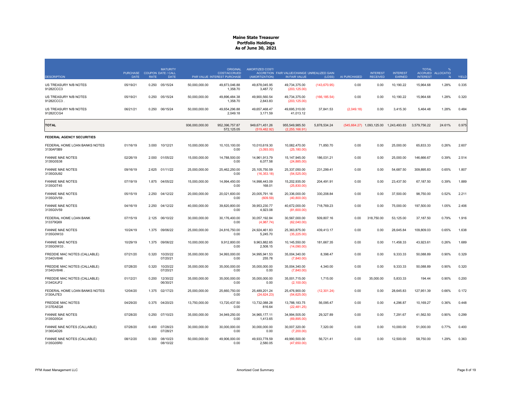| <b>DESCRIPTION</b>                         | PURCHASE COUPON DATE / CALL<br><b>DATE</b> | <b>RATE</b> | <b>MATURITY</b><br><b>DATE</b> |                | <b>ORIGINAL</b><br><b>COST/ACCRUED</b><br>PAR VALUE INTEREST PURCHASE | AMORTIZED COST/<br>(AMORTIZATION) | ACCRETION FAIR VALUE/CHANGE UNREALIZED GAIN<br>IN FAIR VALUE | (LOSS)        | AI PURCHASED | <b>INTEREST</b><br><b>RECEIVED</b>       | <b>INTEREST</b><br>EARNED | <b>TOTAL</b><br><b>INTEREST</b> | 0/2<br>ACCRUED ALLOCATIO<br>N | YIELD |
|--------------------------------------------|--------------------------------------------|-------------|--------------------------------|----------------|-----------------------------------------------------------------------|-----------------------------------|--------------------------------------------------------------|---------------|--------------|------------------------------------------|---------------------------|---------------------------------|-------------------------------|-------|
| US TREASURY N/B NOTES<br>91282CCC3         | 05/19/21                                   | 0.250       | 05/15/24                       | 50,000,000.00  | 49,873,046.88<br>1,358.70                                             | 49,878,045.95<br>3,487.72         | 49,734,375.00<br>(203, 125.00)                               | (143, 670.95) | 0.00         | 0.00                                     | 10,190.22                 | 15,964.68                       | 1.28%                         | 0.335 |
| US TREASURY N/B NOTES<br>91282CCC3         | 05/19/21                                   | 0.250       | 05/15/24                       | 50,000,000.00  | 49,896,484.38<br>1,358.70                                             | 49,900,560.54<br>2,843.83         | 49,734,375.00<br>(203, 125.00)                               | (166, 185.54) | 0.00         | 0.00                                     | 10,190.22                 | 15,964.68                       | 1.28%                         | 0.320 |
| US TREASURY N/B NOTES<br>91282CCG4         | 06/21/21                                   | 0.250       | 06/15/24                       | 50,000,000.00  | 49,654,296.88<br>2,049.18                                             | 49,657,468.47<br>3,171.59         | 49,695,310.00<br>41,013.12                                   | 37,841.53     | (2,049.18)   | 0.00                                     | 3,415.30                  | 5,464.48                        | 1.28%                         | 0.484 |
| <b>TOTAL</b>                               |                                            |             |                                | 936,000,000.00 | 952,396,757.87<br>572,125.05                                          | 949,671,451.26<br>(519.482.92)    | 955,549,985.50<br>(2.255.166.91)                             | 5,878,534.24  |              | $(545,664.27)$ 1,093,125.00 1,243,493.83 |                           | 3,579,756.22                    | 24.61%                        | 0.975 |
| FEDERAL AGENCY SECURITIES                  |                                            |             |                                |                |                                                                       |                                   |                                                              |               |              |                                          |                           |                                 |                               |       |
| FEDERAL HOME LOAN BANKS NOTES<br>3130AF5B9 | 01/16/19                                   | 3.000       | 10/12/21                       | 10,000,000.00  | 10,103,100.00<br>0.00                                                 | 10,010,619.30<br>(3,093.00)       | 10,082,470.00<br>(25, 180.00)                                | 71,850.70     | 0.00         | 0.00                                     | 25,000.00                 | 65,833.33                       | 0.26%                         | 2.607 |
| <b>FANNIE MAE NOTES</b><br>3135G0S38       | 02/26/19                                   | 2.000       | 01/05/22                       | 15,000,000.00  | 14,788,500.00<br>0.00                                                 | 14,961,913.79<br>6,077.58         | 15, 147, 945.00<br>(24,885.00)                               | 186,031.21    | 0.00         | 0.00                                     | 25,000.00                 | 146,666.67                      | 0.39%                         | 2.514 |
| <b>FANNIE MAE NOTES</b><br>3135G0U92       | 09/16/19                                   | 2.625       | 01/11/22                       | 25,000,000,00  | 25.462.250.00<br>0.00                                                 | 25.105.750.59<br>(16, 353.18)     | 25.337.050.00<br>(54, 525.00)                                | 231,299.41    | 0.00         | 0.00                                     | 54.687.50                 | 309.895.83                      | 0.65%                         | 1.807 |
| <b>FANNIE MAE NOTES</b><br>3135G0T45       | 07/19/19                                   | 1.875       | 04/05/22                       | 15,000,000.00  | 14,994,450.00<br>0.00                                                 | 14,998,443.09<br>168.01           | 15,202,935.00<br>(25,830.00)                                 | 204,491.91    | 0.00         | 0.00                                     | 23,437.50                 | 67,187.50                       | 0.39%                         | 1.889 |
| <b>FANNIE MAE NOTES</b><br>3135G0V59       | 05/15/19                                   | 2.250       | 04/12/22                       | 20,000,000,00  | 20.021.600.00<br>0.00                                                 | 20.005.791.16<br>(609.59)         | 20.336.000.00<br>(40,800.00)                                 | 330.208.84    | 0.00         | 0.00                                     | 37,500.00                 | 98.750.00                       | 0.52%                         | 2.211 |
| <b>FANNIE MAE NOTES</b><br>3135G0V59       | 04/16/19                                   | 2.250       | 04/12/22                       | 40,000,000.00  | 39,820,800.00<br>0.00                                                 | 39,953,230.77<br>4,923.08         | 40,672,000.00<br>(81,600.00)                                 | 718,769.23    | 0.00         | 0.00                                     | 75,000.00                 | 197,500.00                      | 1.05%                         | 2.406 |
| FEDERAL HOME LOAN BANK<br>313379Q69        | 07/15/19                                   | 2.125       | 06/10/22                       | 30,000,000.00  | 30,176,400.00<br>0.00                                                 | 30,057,192.84<br>(4,987.74)       | 30,567,000.00<br>(62,040.00)                                 | 509,807.16    | 0.00         | 318,750.00                               | 53,125.00                 | 37,187.50                       | 0.79%                         | 1.916 |
| <b>FANNIE MAE NOTES</b><br>3135G0W33       | 10/24/19                                   | 1.375       | 09/06/22                       | 25,000,000.00  | 24,816,750.00<br>0.00                                                 | 24,924,461.83<br>5,245.70         | 25,363,875.00<br>(35, 225.00)                                | 439,413.17    | 0.00         | 0.00                                     | 28,645.84                 | 109,809.03                      | 0.65%                         | 1.638 |
| <b>FANNIE MAE NOTES</b><br>3135G0W33.      | 10/29/19                                   | 1.375       | 09/06/22                       | 10,000,000.00  | 9,912,800.00<br>0.00                                                  | 9,963,882.65<br>2,508.15          | 10,145,550.00<br>(14,090.00)                                 | 181,667.35    | 0.00         | 0.00                                     | 11,458.33                 | 43,923.61                       | 0.26%                         | 1.689 |
| FREDDIE MAC NOTES (CALLABLE)<br>3134GV6H6  | 07/21/20                                   | 0.320       | 10/20/22<br>07/20/21           | 35,000,000.00  | 34,993,000.00<br>0.00                                                 | 34,995,941.53<br>255.78           | 35,004,340.00<br>(7,840.00)                                  | 8,398.47      | 0.00         | 0.00                                     | 9,333.33                  | 50,088.89                       | 0.90%                         | 0.329 |
| FREDDIE MAC NOTES (CALLABLE)<br>3134GV6H6  | 07/28/20                                   | 0.320       | 10/20/22<br>07/20/21           | 35,000,000.00  | 35,000,000.00<br>0.00                                                 | 35,000,000.00<br>0.00             | 35,004,340.00<br>(7,840.00)                                  | 4,340.00      | 0.00         | 0.00                                     | 9,333.33                  | 50,088.89                       | 0.90%                         | 0.320 |
| FREDDIE MAC NOTES (CALLABLE)<br>3134GXJF2  | 01/12/21                                   | 0.200       | 12/30/22<br>06/30/21           | 35,000,000.00  | 35,000,000.00<br>0.00                                                 | 35,000,000.00<br>0.00             | 35,001,715.00<br>(2,100.00)                                  | 1,715.00      | 0.00         | 35,000.00                                | 5,833.33                  | 194.44                          | 0.90%                         | 0.200 |
| FEDERAL HOME LOAN BANKS NOTES<br>3130AJ7E3 | 12/04/20                                   | 1.375       | 02/17/23                       | 25,000,000.00  | 25,660,750.00<br>0.00                                                 | 25.489.201.24<br>(24, 624.23)     | 25,476,900.00<br>(54, 625.00)                                | (12, 301.24)  | 0.00         | 0.00                                     | 28,645.83                 | 127,951.39                      | 0.66%                         | 0.172 |
| <b>FREDDIE MAC NOTES</b><br>3137EAEQ8      | 04/29/20                                   | 0.375       | 04/20/23                       | 13,750,000.00  | 13,720,437.50<br>0.00                                                 | 13,732,088.28<br>816.64           | 13,788,183.75<br>(22, 481.25)                                | 56,095.47     | 0.00         | 0.00                                     | 4,296.87                  | 10,169.27                       | 0.36%                         | 0.448 |
| <b>FANNIE MAE NOTES</b><br>3135G05G4       | 07/28/20                                   | 0.250       | 07/10/23                       | 35,000,000.00  | 34,949,250.00<br>0.00                                                 | 34,965,177.11<br>1,413.65         | 34,994,505.00<br>(69,895.00)                                 | 29,327.89     | 0.00         | 0.00                                     | 7,291.67                  | 41,562.50                       | 0.90%                         | 0.299 |
| FANNIE MAE NOTES (CALLABLE)<br>3136G4D26   | 07/28/20                                   | 0.400       | 07/28/23<br>07/28/21           | 30.000.000.00  | 30.000.000.00<br>0.00                                                 | 30.000.000.00<br>0.00             | 30.007.320.00<br>(7,200.00)                                  | 7.320.00      | 0.00         | 0.00                                     | 10.000.00                 | 51.000.00                       | 0.77%                         | 0.400 |
| FANNIE MAE NOTES (CALLABLE)<br>3135G05R0   | 08/12/20                                   | 0.300       | 08/10/23<br>08/10/22           | 50,000,000.00  | 49,906,000.00<br>0.00                                                 | 49,933,778.59<br>2,580.05         | 49,990,500.00<br>(47,650.00)                                 | 56,721.41     | 0.00         | 0.00                                     | 12,500.00                 | 58,750.00                       | 1.29%                         | 0.363 |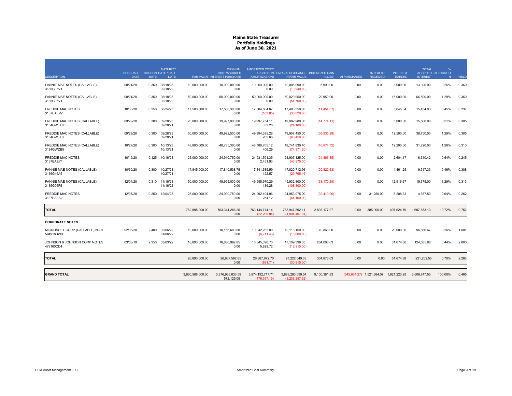|                                             | PURCHASE COUPON DATE / CALL<br><b>DATE</b> | <b>RATE</b> | <b>MATURITY</b><br><b>DATE</b> |                  | ORIGINAL<br>COST/ACCRUED<br>PAR VALUE INTEREST PURCHASE | AMORTIZED COST/<br>(AMORTIZATION) | ACCRETION FAIR VALUE/CHANGE UNREALIZED GAIN<br>IN FAIR VALUE |              |              | <b>INTEREST</b><br><b>RECEIVED</b>     | <b>INTEREST</b> | <b>TOTAL</b><br><b>INTEREST</b> | %<br>ACCRUED ALLOCATIO |       |
|---------------------------------------------|--------------------------------------------|-------------|--------------------------------|------------------|---------------------------------------------------------|-----------------------------------|--------------------------------------------------------------|--------------|--------------|----------------------------------------|-----------------|---------------------------------|------------------------|-------|
| <b>DESCRIPTION</b>                          |                                            |             |                                |                  |                                                         |                                   |                                                              | (LOSS)       | AI PURCHASED |                                        | <b>EARNED</b>   |                                 | N.                     | YIELD |
| FANNIE MAE NOTES (CALLABLE)<br>3135G05V1    | 08/21/20                                   | 0.360       | 08/18/23<br>02/18/22           | 10,000,000.00    | 10,000,000.00<br>0.00                                   | 10,000,000.00<br>0.00             | 10,005,990.00<br>(10,940.00)                                 | 5,990.00     | 0.00         | 0.00                                   | 3,000.00        | 13,300.00                       | 0.26%                  | 0.360 |
| FANNIE MAE NOTES (CALLABLE)<br>3135G05V1.   | 08/21/20                                   | 0.360       | 08/18/23<br>02/18/22           | 50,000,000.00    | 50.000.000.00<br>0.00                                   | 50.000.000.00<br>0.00             | 50.029.950.00<br>(54,700.00)                                 | 29.950.00    | 0.00         | 0.00                                   | 15,000.00       | 66.500.00                       | 1.29%                  | 0.360 |
| <b>FREDDIE MAC NOTES</b><br>3137EAEV7       | 10/30/20                                   | 0.250       | 08/24/23                       | 17,500,000.00    | 17.506.300.00<br>0.00                                   | 17.504.804.67<br>(183.85)         | 17.493.350.00<br>(36,820.00)                                 | (11, 454.67) | 0.00         | 0.00                                   | 3.645.84        | 15.434.03                       | 0.45%                  | 0.237 |
| FREDDIE MAC NOTES (CALLABLE)<br>3134GWTL0   | 09/29/20                                   | 0.300       | 09/28/23<br>09/28/21           | 20,000,000.00    | 19,997,000.00<br>0.00                                   | 19,997,754.11<br>82.26            | 19,982,980.00<br>(24, 180.00)                                | (14, 774.11) | 0.00         | 0.00                                   | 5,000.00        | 15,500.00                       | 0.51%                  | 0.305 |
| FREDDIE MAC NOTES (CALLABLE)<br>3134GWTL0   | 09/29/20                                   | 0.300       | 09/28/23<br>09/28/21           | 50,000,000.00    | 49.992.500.00<br>0.00                                   | 49,994,385.28<br>205.66           | 49,957,450.00<br>(60, 450.00)                                | (36,935.28)  | 0.00         | 0.00                                   | 12,500.00       | 38,750.00                       | 1.29%                  | 0.305 |
| FREDDIE MAC NOTES (CALLABLE)<br>3134GWZB5   | 10/27/20                                   | 0.300       | 10/13/23<br>10/13/21           | 48,800,000.00    | 48.785.360.00<br>0.00                                   | 48.788.705.12<br>406.29           | 48.741.830.40<br>(74, 371.20)                                | (46, 874.72) | 0.00         | 0.00                                   | 12,200.00       | 31,720.00                       | 1.26%                  | 0.310 |
| <b>FREDDIE MAC NOTES</b><br>3137EAEY1       | 10/19/20                                   | 0.125       | 10/16/23                       | 25,000,000.00    | 24,910,750.00<br>0.00                                   | 24,931,591.35<br>2,451.93         | 24,907,125.00<br>(46,975.00)                                 | (24, 466.35) | 0.00         | 0.00                                   | 2,604.17        | 6,510.42                        | 0.64%                  | 0.245 |
| FANNIE MAE NOTES (CALLABLE)<br>3136G46A6    | 10/30/20                                   | 0.300       | 10/27/23<br>10/27/21           | 17,845,000.00    | 17,840,538.75<br>0.00                                   | 17,841,535.59<br>122.57           | 17,820,712.96<br>(29, 765.46)                                | (20, 822.63) | 0.00         | 0.00                                   | 4,461.25        | 9.517.33                        | 0.46%                  | 0.308 |
| FANNIE MAE NOTES (CALLABLE)<br>3135G06F5    | 12/04/20                                   |             | 0.310 11/16/23<br>11/16/22     | 50,000,000.00    | 49,995,000.00<br>0.00                                   | 49,995,970.29<br>139.28           | 49,932,800.00<br>(108,300.00)                                | (63, 170.29) | 0.00         | 0.00                                   | 12,916.67       | 19,375.00                       | 1.29%                  | 0.313 |
| <b>FREDDIE MAC NOTES</b><br>3137EAFA2       | 12/07/20                                   | 0.250       | 12/04/23                       | 25,000,000.00    | 24,990,750.00<br>0.00                                   | 24,992,494.96<br>254.12           | 24,953,075.00<br>(64, 100.00)                                | (39, 419.96) | 0.00         | 31,250.00                              | 5.208.33        | 4.687.50                        | 0.64%                  | 0.262 |
| <b>TOTAL</b>                                |                                            |             |                                | 762.895.000.00   | 763,344,286.25<br>0.00                                  | 763, 144, 714. 14<br>(22.200.84)  | 765.947.892.11<br>(1,094,407.91)                             | 2.803.177.97 | 0.00         | 385.000.00                             | 497.624.79      | 1.687.853.13                    | 19.72%                 | 0.752 |
| <b>CORPORATE NOTES</b>                      |                                            |             |                                |                  |                                                         |                                   |                                                              |              |              |                                        |                 |                                 |                        |       |
| MICROSOFT CORP (CALLABLE) NOTE<br>594918BW3 | 02/06/20                                   | 2.400       | 02/06/22<br>01/06/22           | 10,000,000.00    | 10,156,600.00<br>0.00                                   | 10,042,282.00<br>(6,711.43)       | 10,113,150.00<br>(18,600.00)                                 | 70,868.00    | 0.00         | 0.00                                   | 20,000.00       | 96,666.67                       | 0.26%                  | 1.601 |
| JOHNSON & JOHNSON CORP NOTES<br>478160CD4   | 03/08/19                                   | 2.250       | 03/03/22                       | 16,893,000.00    | 16.680.992.85<br>0.00                                   | 16,845,390.70<br>5,829.72         | 17,109,399.33<br>(12,315.00)                                 | 264.008.63   | 0.00         | 0.00                                   | 31,674.38       | 124,585.88                      | 0.44%                  | 2.690 |
| <b>TOTAL</b>                                |                                            |             |                                | 26,893,000.00    | 26,837,592.85<br>0.00                                   | 26,887,672.70<br>(881.71)         | 27,222,549.33<br>(30.915.00)                                 | 334,876.63   | 0.00         | 0.00                                   | 51,674.38       | 221,252.55                      | 0.70%                  | 2.286 |
| <b>GRAND TOTAL</b>                          |                                            |             |                                | 3,860,588,000.00 | 3,876,936,633.59<br>572,125.05                          | 3,874,192,717.71<br>(476.367.15)  | 3,883,293,099.54<br>(3.238.257.62)                           | 9,100,381.83 |              | (545,664.27) 1,521,684.07 1,921,223.28 |                 | 6,606,747.55                    | 100.00%                | 0.465 |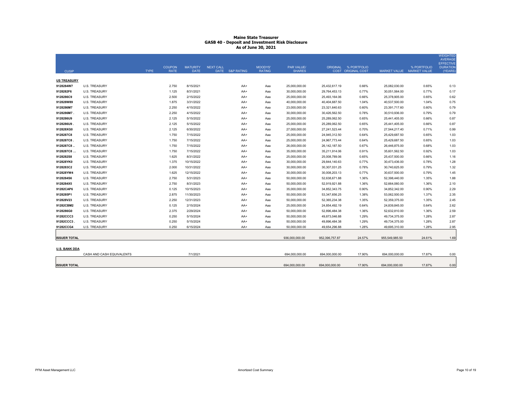|                      |                           |             |               |                 |                  |                 |               |                   |                 |                      |                           |             | <b>WEIGHTED</b><br><b>AVERAGE</b>   |
|----------------------|---------------------------|-------------|---------------|-----------------|------------------|-----------------|---------------|-------------------|-----------------|----------------------|---------------------------|-------------|-------------------------------------|
|                      |                           |             | <b>COUPON</b> | <b>MATURITY</b> | <b>NEXT CALL</b> |                 | MOODYS'       | <b>PAR VALUE/</b> |                 | ORIGINAL % PORTFOLIO |                           | % PORTFOLIO | <b>EFFECTIVE</b><br><b>DURATION</b> |
| <b>CUSIP</b>         |                           | <b>TYPE</b> | <b>RATE</b>   | <b>DATE</b>     |                  | DATE S&P RATING | <b>RATING</b> | <b>SHARES</b>     |                 | COST ORIGINAL COST   | MARKET VALUE MARKET VALUE |             | (YEARS)                             |
| <b>US TREASURY</b>   |                           |             |               |                 |                  |                 |               |                   |                 |                      |                           |             |                                     |
| 9128284W7            | <b>U.S. TREASURY</b>      |             | 2.750         | 8/15/2021       |                  | AA+             | Aaa           | 25,000,000.00     | 25,432,617.19   | 0.66%                | 25,082,030.00             | 0.65%       | 0.13                                |
| 9128282F6            | <b>U.S. TREASURY</b>      |             | 1.125         | 8/31/2021       |                  | AA+             | Aaa           | 30.000.000.00     | 29,764,453.13   | 0.77%                | 30,051,564.00             | 0.77%       | 0.17                                |
| 9128286C9            | <b>U.S. TREASURY</b>      |             | 2.500         | 2/15/2022       |                  | AA+             | Aaa           | 25,000,000.00     | 25,493,164.06   | 0.66%                | 25,378,905.00             | 0.65%       | 0.62                                |
| 912828W89            | <b>U.S. TREASURY</b>      |             | 1.875         | 3/31/2022       |                  | AA+             | Aaa           | 40,000,000.00     | 40,404,687.50   | 1.04%                | 40,537,500.00             | 1.04%       | 0.75                                |
| 9128286M7            | <b>U.S. TREASURY</b>      |             | 2.250         | 4/15/2022       |                  | AA+             | Aaa           | 23,000,000.00     | 23,321,640.63   | 0.60%                | 23,391,717.60             | 0.60%       | 0.79                                |
| 9128286M7            | <b>U.S. TREASURY</b>      |             | 2.250         | 4/15/2022       |                  | AA+             | Aaa           | 30,000,000.00     | 30,426,562.50   | 0.78%                | 30.510.936.00             | 0.79%       | 0.79                                |
| 9128286U9            | <b>U.S. TREASURY</b>      |             | 2.125         | 5/15/2022       |                  | AA+             | Aaa           | 25,000,000.00     | 25,289,062.50   | 0.65%                | 25,441,405.00             | 0.66%       | 0.87                                |
| 9128286U9.           | <b>U.S. TREASURY</b>      |             | 2.125         | 5/15/2022       |                  | AA+             | Aaa           | 25,000,000.00     | 25,289,062.50   | 0.65%                | 25,441,405.00             | 0.66%       | 0.87                                |
| 912828XG0            | <b>U.S. TREASURY</b>      |             | 2.125         | 6/30/2022       |                  | AA+             | Aaa           | 27,000,000.00     | 27,241,523.44   | 0.70%                | 27,544,217.40             | 0.71%       | 0.99                                |
| 9128287C8            | <b>U.S. TREASURY</b>      |             | 1.750         | 7/15/2022       |                  | AA+             | Aaa           | 25,000,000.00     | 24,945,312.50   | 0.64%                | 25,429,687.50             | 0.65%       | 1.03                                |
| 9128287C8.           | <b>U.S. TREASURY</b>      |             | 1.750         | 7/15/2022       |                  | AA+             | Aaa           | 25,000,000.00     | 24,967,773.44   | 0.64%                | 25,429,687.50             | 0.65%       | 1.03                                |
| 9128287C8            | <b>U.S. TREASURY</b>      |             | 1.750         | 7/15/2022       |                  | AA+             | Aaa           | 26,000,000.00     | 26, 142, 187.50 | 0.67%                | 26,446,875.00             | 0.68%       | 1.03                                |
| 9128287C8            | <b>U.S. TREASURY</b>      |             | 1.750         | 7/15/2022       |                  | AA+             | Aaa           | 35,000,000.00     | 35,211,914.06   | 0.91%                | 35,601,562.50             | 0.92%       | 1.03                                |
| 9128282S8            | <b>U.S. TREASURY</b>      |             | 1.625         | 8/31/2022       |                  | AA+             | Aaa           | 25,000,000.00     | 25,008,789.06   | 0.65%                | 25,437,500.00             | 0.66%       | 1.16                                |
| 912828YK0            | <b>U.S. TREASURY</b>      |             | 1.375         | 10/15/2022      |                  | AA+             | Aaa           | 30,000,000.00     | 29,844,140.63   | 0.77%                | 30,473,436.00             | 0.78%       | 1.28                                |
| 9128283C2            | <b>U.S. TREASURY</b>      |             | 2.000         | 10/31/2022      |                  | AA+             | Aaa           | 30,000,000.00     | 30,307,031.25   | 0.78%                | 30,740,625.00             | 0.79%       | 1.32                                |
| 912828YW4            | U.S. TREASURY             |             | 1.625         | 12/15/2022      |                  | AA+             | Aaa           | 30,000,000.00     | 30,008,203.13   | 0.77%                | 30,637,500.00             | 0.79%       | 1.45                                |
| 9128284S6            | U.S. TREASURY             |             | 2.750         | 5/31/2023       |                  | AA+             | Aaa           | 50,000,000.00     | 52,638,671.88   | 1.36%                | 52,398,440.00             | 1.35%       | 1.88                                |
| 9128284X5            | U.S. TREASURY             |             | 2.750         | 8/31/2023       |                  | AA+             | Aaa           | 50,000,000.00     | 52,919,921.88   | 1.36%                | 52,664,060.00             | 1.36%       | 2.10                                |
| 91282CAP6            | U.S. TREASURY             |             | 0.125         | 10/15/2023      |                  | AA+             | Aaa           | 35,000,000.00     | 34,852,343.75   | 0.90%                | 34,852,342.00             | 0.90%       | 2.29                                |
| 9128285P1            | <b>U.S. TREASURY</b>      |             | 2.875         | 11/30/2023      |                  | AA+             | Aaa           | 50,000,000.00     | 53,347,656.25   | 1.38%                | 53,062,500.00             | 1.37%       | 2.35                                |
| 912828V23            | <b>U.S. TREASURY</b>      |             | 2.250         | 12/31/2023      |                  | AA+             | Aaa           | 50,000,000.00     | 52,365,234.38   | 1.35%                | 52,359,375.00             | 1.35%       | 2.45                                |
| 91282CBM2            | <b>U.S. TREASURY</b>      |             | 0.125         | 2/15/2024       |                  | AA+             | Aaa           | 25,000,000.00     | 24,854,492.19   | 0.64%                | 24,839,845.00             | 0.64%       | 2.62                                |
| 9128286G0            | <b>U.S. TREASURY</b>      |             | 2.375         | 2/29/2024       |                  | AA+             | Aaa           | 50,000,000.00     | 52.896.484.38   | 1.36%                | 52.632.810.00             | 1.36%       | 2.59                                |
| 91282CCC3            | <b>U.S. TREASURY</b>      |             | 0.250         | 5/15/2024       |                  | AA+             | Aaa           | 50,000,000.00     | 49,873,046.88   | 1.29%                | 49,734,375.00             | 1.28%       | 2.87                                |
| 91282CCC3            | <b>U.S. TREASURY</b>      |             | 0.250         | 5/15/2024       |                  | AA+             | Aaa           | 50,000,000.00     | 49,896,484.38   | 1.29%                | 49,734,375.00             | 1.28%       | 2.87                                |
| 91282CCG4            | <b>U.S. TREASURY</b>      |             | 0.250         | 6/15/2024       |                  | AA+             | Aaa           | 50,000,000.00     | 49,654,296.88   | 1.28%                | 49,695,310.00             | 1.28%       | 2.95                                |
|                      |                           |             |               |                 |                  |                 |               |                   |                 |                      |                           |             |                                     |
| <b>ISSUER TOTAL</b>  |                           |             |               |                 |                  |                 |               | 936,000,000.00    | 952,396,757.87  | 24.57%               | 955,549,985.50            | 24.61%      | 1.69                                |
|                      |                           |             |               |                 |                  |                 |               |                   |                 |                      |                           |             |                                     |
| <b>U.S. BANK DDA</b> |                           |             |               |                 |                  |                 |               |                   |                 |                      |                           |             |                                     |
|                      | CASH AND CASH EQUIVALENTS |             |               | 7/1/2021        |                  |                 |               | 694,000,000.00    | 694,000,000.00  | 17.90%               | 694,000,000.00            | 17.87%      | 0.00                                |
| <b>ISSUER TOTAL</b>  |                           |             |               |                 |                  |                 |               | 694,000,000.00    | 694,000,000.00  | 17.90%               | 694,000,000.00            | 17.87%      | 0.00                                |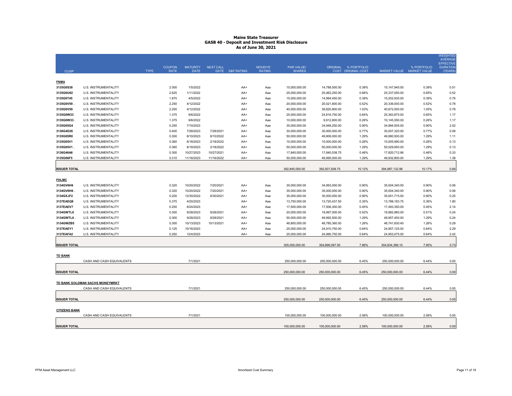|                      |                                 |             |               |                 |                  |                       |               |                |                |                      |                |                           | <b>WEIGHTED</b><br><b>AVERAGE</b>   |
|----------------------|---------------------------------|-------------|---------------|-----------------|------------------|-----------------------|---------------|----------------|----------------|----------------------|----------------|---------------------------|-------------------------------------|
|                      |                                 |             | <b>COUPON</b> | <b>MATURITY</b> | <b>NEXT CALL</b> |                       | MOODYS'       | PAR VALUE/     |                | ORIGINAL % PORTFOLIO |                | % PORTFOLIO               | <b>EFFECTIVE</b><br><b>DURATION</b> |
| <b>CUSIP</b>         |                                 | <b>TYPE</b> | <b>RATE</b>   | <b>DATE</b>     | DATE             | <b>S&amp;P RATING</b> | <b>RATING</b> | <b>SHARES</b>  |                | COST ORIGINAL COST   |                | MARKET VALUE MARKET VALUE | (YEARS)                             |
| <b>FNMA</b>          |                                 |             |               |                 |                  |                       |               |                |                |                      |                |                           |                                     |
| 3135G0S38            | U.S. INSTRUMENTALITY            |             | 2.000         | 1/5/2022        |                  | AA+                   | Aaa           | 15,000,000.00  | 14,788,500.00  | 0.38%                | 15,147,945.00  | 0.39%                     | 0.51                                |
| 3135G0U92            | U.S. INSTRUMENTALITY            |             | 2.625         | 1/11/2022       |                  | AA+                   | Ааа           | 25,000,000.00  | 25,462,250.00  | 0.66%                | 25,337,050.00  | 0.65%                     | 0.52                                |
| 3135G0T45            | U.S. INSTRUMENTALITY            |             | 1.875         | 4/5/2022        |                  | AA+                   | Aaa           | 15,000,000.00  | 14,994,450.00  | 0.39%                | 15,202,935.00  | 0.39%                     | 0.76                                |
| 3135G0V59            | U.S. INSTRUMENTALITY            |             | 2.250         | 4/12/2022       |                  | AA+                   | Aaa           | 20,000,000.00  | 20,021,600.00  | 0.52%                | 20,336,000.00  | 0.52%                     | 0.78                                |
| 3135G0V59            | U.S. INSTRUMENTALITY            |             | 2.250         | 4/12/2022       |                  | AA+                   | Aaa           | 40,000,000.00  | 39,820,800.00  | 1.03%                | 40,672,000.00  | 1.05%                     | 0.78                                |
| 3135G0W33            | U.S. INSTRUMENTALITY            |             | 1.375         | 9/6/2022        |                  | AA+                   | Aaa           | 25,000,000.00  | 24,816,750.00  | 0.64%                | 25,363,875.00  | 0.65%                     | 1.17                                |
| 3135G0W33            | U.S. INSTRUMENTALITY            |             | 1.375         | 9/6/2022        |                  | AA+                   | Aaa           | 10,000,000.00  | 9,912,800.00   | 0.26%                | 10,145,550.00  | 0.26%                     | 1.17                                |
| 3135G05G4            | U.S. INSTRUMENTALITY            |             | 0.250         | 7/10/2023       |                  | AA+                   | Aaa           | 35,000,000.00  | 34,949,250.00  | 0.90%                | 34,994,505.00  | 0.90%                     | 2.02                                |
| 3136G4D26            | U.S. INSTRUMENTALITY            |             | 0.400         | 7/28/2023       | 7/28/2021        | AA+                   | Aaa           | 30,000,000.00  | 30,000,000.00  | 0.77%                | 30,007,320.00  | 0.77%                     | 0.08                                |
| 3135G05R0            | U.S. INSTRUMENTALITY            |             | 0.300         | 8/10/2023       | 8/10/2022        | AA+                   | Aaa           | 50,000,000.00  | 49,906,000.00  | 1.29%                | 49,990,500.00  | 1.29%                     | 1.11                                |
| 3135G05V1            | U.S. INSTRUMENTALITY            |             | 0.360         | 8/18/2023       | 2/18/2022        | AA+                   | Aaa           | 10,000,000.00  | 10,000,000.00  | 0.26%                | 10,005,990.00  | 0.26%                     | 0.13                                |
| 3135G05V1            | U.S. INSTRUMENTALITY            |             | 0.360         | 8/18/2023       | 2/18/2022        | AA+                   | Aaa           | 50,000,000.00  | 50,000,000.00  | 1.29%                | 50,029,950.00  | 1.29%                     | 0.13                                |
| 3136G46A6            | U.S. INSTRUMENTALITY            |             | 0.300         | 10/27/2023      | 10/27/2021       | AA+                   | Aaa           | 17,845,000.00  | 17,840,538.75  | 0.46%                | 17,820,712.96  | 0.46%                     | 0.33                                |
| 3135G06F5            | U.S. INSTRUMENTALITY            |             | 0.310         | 11/16/2023      | 11/16/2022       | AA+                   | Aaa           | 50,000,000.00  | 49,995,000.00  | 1.29%                | 49,932,800.00  | 1.29%                     | 1.38                                |
|                      |                                 |             |               |                 |                  |                       |               |                |                |                      |                |                           |                                     |
| <b>ISSUER TOTAL</b>  |                                 |             |               |                 |                  |                       |               | 392,845,000.00 | 392,507,938.75 | 10.12%               | 394,987,132.96 | 10.17%                    | 0.84                                |
|                      |                                 |             |               |                 |                  |                       |               |                |                |                      |                |                           |                                     |
| <b>FHLMC</b>         |                                 |             |               |                 |                  |                       |               |                |                |                      |                |                           |                                     |
| 3134GV6H6            | U.S. INSTRUMENTALITY            |             | 0.320         | 10/20/2022      | 7/20/2021        | AA+                   | Aaa           | 35,000,000.00  | 34,993,000.00  | 0.90%                | 35,004,340.00  | 0.90%                     | 0.06                                |
| 3134GV6H6.           | U.S. INSTRUMENTALITY            |             | 0.320         | 10/20/2022      | 7/20/2021        | AA+                   | Aaa           | 35,000,000.00  | 35,000,000.00  | 0.90%                | 35,004,340.00  | 0.90%                     | 0.06                                |
| 3134GXJF2            | U.S. INSTRUMENTALITY            |             | 0.200         | 12/30/2022      | 6/30/2021        | AA+                   | Aaa           | 35,000,000.00  | 35,000,000.00  | 0.90%                | 35,001,715.00  | 0.90%                     | 0.25                                |
| 3137EAEQ8            | U.S. INSTRUMENTALITY            |             | 0.375         | 4/20/2023       |                  | AA+                   | Aaa           | 13,750,000.00  | 13,720,437.50  | 0.35%                | 13,788,183.75  | 0.36%                     | 1.80                                |
| 3137EAEV7            | U.S. INSTRUMENTALITY            |             | 0.250         | 8/24/2023       |                  | AA+                   | Aaa           | 17,500,000.00  | 17,506,300.00  | 0.45%                | 17,493,350.00  | 0.45%                     | 2.14                                |
| 3134GWTL0            | U.S. INSTRUMENTALITY            |             | 0.300         | 9/28/2023       | 9/28/2021        | AA+                   | Aaa           | 20,000,000.00  | 19,997,000.00  | 0.52%                | 19,982,980.00  | 0.51%                     | 0.24                                |
| 3134GWTL0            | U.S. INSTRUMENTALITY            |             | 0.300         | 9/28/2023       | 9/28/2021        | AA+                   | Aaa           | 50,000,000.00  | 49,992,500.00  | 1.29%                | 49,957,450.00  | 1.29%                     | 0.24                                |
| 3134GWZB5            | U.S. INSTRUMENTALITY            |             | 0.300         | 10/13/2023      | 10/13/2021       | AA+                   | Aaa           | 48,800,000.00  | 48,785,360.00  | 1.26%                | 48,741,830.40  | 1.26%                     | 0.29                                |
| 3137EAEY1            | U.S. INSTRUMENTALITY            |             | 0.125         | 10/16/2023      |                  | AA+                   | Aaa           | 25,000,000.00  | 24,910,750.00  | 0.64%                | 24,907,125.00  | 0.64%                     | 2.29                                |
| 3137EAFA2            | U.S. INSTRUMENTALITY            |             | 0.250         | 12/4/2023       |                  | AA+                   | Aaa           | 25,000,000.00  | 24,990,750.00  | 0.64%                | 24,953,075.00  | 0.64%                     | 2.42                                |
|                      |                                 |             |               |                 |                  |                       |               |                |                |                      |                |                           |                                     |
| <b>ISSUER TOTAL</b>  |                                 |             |               |                 |                  |                       |               | 305,050,000.00 | 304,896,097.50 | 7.86%                | 304,834,389.15 | 7.85%                     | 0.73                                |
|                      |                                 |             |               |                 |                  |                       |               |                |                |                      |                |                           |                                     |
| <b>TD BANK</b>       |                                 |             |               |                 |                  |                       |               |                |                |                      |                |                           |                                     |
|                      | CASH AND CASH EQUIVALENTS       |             |               | 7/1/2021        |                  |                       |               | 250.000.000.00 | 250.000.000.00 | 6.45%                | 250.000.000.00 | 6.44%                     | 0.00                                |
| <b>ISSUER TOTAL</b>  |                                 |             |               |                 |                  |                       |               | 250,000,000.00 | 250,000,000.00 | 6.45%                | 250,000,000.00 | 6.44%                     | 0.00                                |
|                      |                                 |             |               |                 |                  |                       |               |                |                |                      |                |                           |                                     |
|                      | TD BANK GOLDMAN SACHS MONEYMRKT |             |               |                 |                  |                       |               |                |                |                      |                |                           |                                     |
|                      | CASH AND CASH EQUIVALENTS       |             |               | 7/1/2021        |                  |                       |               | 250,000,000.00 | 250,000,000.00 | 6.45%                | 250,000,000.00 | 6.44%                     | 0.00                                |
|                      |                                 |             |               |                 |                  |                       |               |                |                |                      |                |                           |                                     |
| <b>ISSUER TOTAL</b>  |                                 |             |               |                 |                  |                       |               | 250,000,000.00 | 250,000,000.00 | 6.45%                | 250,000,000.00 | 6.44%                     | 0.00                                |
|                      |                                 |             |               |                 |                  |                       |               |                |                |                      |                |                           |                                     |
| <b>CITIZENS BANK</b> |                                 |             |               |                 |                  |                       |               |                |                |                      |                |                           |                                     |
|                      | CASH AND CASH EQUIVALENTS       |             |               | 7/1/2021        |                  |                       |               | 100.000.000.00 | 100,000,000.00 | 2.58%                | 100,000,000.00 | 2.58%                     | 0.00                                |
|                      |                                 |             |               |                 |                  |                       |               |                |                |                      |                |                           |                                     |
| <b>ISSUER TOTAL</b>  |                                 |             |               |                 |                  |                       |               | 100,000,000.00 | 100,000,000.00 | 2.58%                | 100,000,000.00 | 2.58%                     | 0.00                                |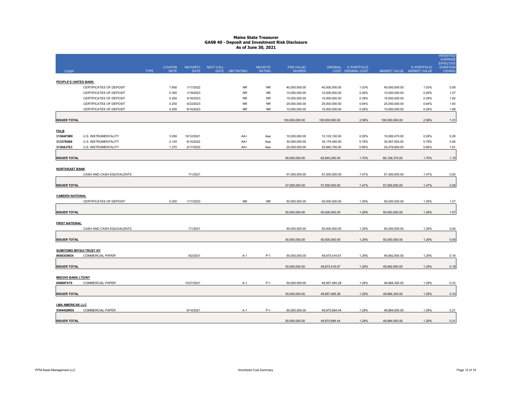|                                      |                           |             |                              |                                |           |                 |                          |                             |                |                                            |                |                                          | <b>WEIGHTED</b><br><b>AVERAGE</b>              |
|--------------------------------------|---------------------------|-------------|------------------------------|--------------------------------|-----------|-----------------|--------------------------|-----------------------------|----------------|--------------------------------------------|----------------|------------------------------------------|------------------------------------------------|
| <b>CUSIP</b>                         |                           | <b>TYPE</b> | <b>COUPON</b><br><b>RATE</b> | <b>MATURITY</b><br><b>DATE</b> | NEXT CALL | DATE S&P RATING | MOODYS'<br><b>RATING</b> | PAR VALUE/<br><b>SHARES</b> |                | ORIGINAL % PORTFOLIO<br>COST ORIGINAL COST |                | % PORTFOLIO<br>MARKET VALUE MARKET VALUE | <b>EFFECTIVE</b><br><b>DURATION</b><br>(YEARS) |
| PEOPLE'S UNITED BANK                 |                           |             |                              |                                |           |                 |                          |                             |                |                                            |                |                                          |                                                |
|                                      | CERTIFICATES OF DEPOSIT   |             | 1.650                        | 1/17/2022                      |           | <b>NR</b>       | <b>NR</b>                | 40,000,000.00               | 40,000,000.00  | 1.03%                                      | 40,000,000.00  | 1.03%                                    | 0.56                                           |
|                                      | CERTIFICATES OF DEPOSIT   |             | 0.350                        | 1/19/2023                      |           | <b>NR</b>       | <b>NR</b>                | 10,000,000.00               | 10,000,000.00  | 0.26%                                      | 10,000,000.00  | 0.26%                                    | 1.57                                           |
|                                      | CERTIFICATES OF DEPOSIT   |             | 0.250                        | 4/18/2023                      |           | <b>NR</b>       | <b>NR</b>                | 15,000,000.00               | 15,000,000.00  | 0.39%                                      | 15,000,000.00  | 0.39%                                    | 1.82                                           |
|                                      | CERTIFICATES OF DEPOSIT   |             | 0.250                        | 4/23/2023                      |           | <b>NR</b>       | <b>NR</b>                | 25,000,000.00               | 25,000,000.00  | 0.64%                                      | 25,000,000.00  | 0.64%                                    | 1.83                                           |
|                                      | CERTIFICATES OF DEPOSIT   |             | 0.200                        | 6/14/2023                      |           | <b>NR</b>       | <b>NR</b>                | 10,000,000.00               | 10,000,000.00  | 0.26%                                      | 10,000,000.00  | 0.26%                                    | 1.98                                           |
| <b>ISSUER TOTAL</b>                  |                           |             |                              |                                |           |                 |                          | 100,000,000.00              | 100,000,000.00 | 2.58%                                      | 100,000,000.00 | 2.58%                                    | 1.31                                           |
| <b>FHLB</b>                          |                           |             |                              |                                |           |                 |                          |                             |                |                                            |                |                                          |                                                |
| 3130AF5B9                            | U.S. INSTRUMENTALITY      |             | 3.000                        | 10/12/2021                     |           | AA+             | Aaa                      | 10,000,000.00               | 10,103,100.00  | 0.26%                                      | 10,082,470.00  | 0.26%                                    | 0.28                                           |
| 313379Q69                            | U.S. INSTRUMENTALITY      |             | 2.125                        | 6/10/2022                      |           | AA+             | Aaa                      | 30,000,000.00               | 30,176,400.00  | 0.78%                                      | 30,567,000.00  | 0.79%                                    | 0.94                                           |
| 3130AJ7E3                            | U.S. INSTRUMENTALITY      |             | 1.375                        | 2/17/2023                      |           | AA+             | Aaa                      | 25,000,000.00               | 25,660,750.00  | 0.66%                                      | 25,476,900.00  | 0.66%                                    | 1.61                                           |
| <b>ISSUER TOTAL</b>                  |                           |             |                              |                                |           |                 |                          | 65,000,000.00               | 65,940,250.00  | 1.70%                                      | 66,126,370.00  | 1.70%                                    | 1.10                                           |
| <b>NORTHEAST BANK</b>                |                           |             |                              |                                |           |                 |                          |                             |                |                                            |                |                                          |                                                |
|                                      | CASH AND CASH EQUIVALENTS |             |                              | 7/1/2021                       |           |                 |                          | 57,000,000.00               | 57,000,000.00  | 1.47%                                      | 57,000,000.00  | 1.47%                                    | 0.00                                           |
| <b>ISSUER TOTAL</b>                  |                           |             |                              |                                |           |                 |                          | 57,000,000.00               | 57,000,000.00  | 1.47%                                      | 57,000,000.00  | 1.47%                                    | 0.00                                           |
| <b>CAMDEN NATIONAL</b>               |                           |             |                              |                                |           |                 |                          |                             |                |                                            |                |                                          |                                                |
|                                      | CERTIFICATES OF DEPOSIT   |             | 0.200                        | 1/17/2023                      |           | <b>NR</b>       | <b>NR</b>                | 50,000,000.00               | 50,000,000.00  | 1.29%                                      | 50,000,000.00  | 1.29%                                    | 1.57                                           |
| <b>ISSUER TOTAL</b>                  |                           |             |                              |                                |           |                 |                          | 50,000,000.00               | 50,000,000.00  | 1.29%                                      | 50,000,000.00  | 1.29%                                    | 1.57                                           |
|                                      |                           |             |                              |                                |           |                 |                          |                             |                |                                            |                |                                          |                                                |
| <b>FIRST NATIONAL</b>                | CASH AND CASH EQUIVALENTS |             |                              | 7/1/2021                       |           |                 |                          | 50,000,000.00               | 50,000,000.00  | 1.29%                                      | 50,000,000.00  | 1.29%                                    | 0.00                                           |
|                                      |                           |             |                              |                                |           |                 |                          |                             |                |                                            |                |                                          |                                                |
| <b>ISSUER TOTAL</b>                  |                           |             |                              |                                |           |                 |                          | 50,000,000.00               | 50,000,000.00  | 1.29%                                      | 50,000,000.00  | 1.29%                                    | 0.00                                           |
| <b>SUMITOMO MITSUI TRUST NY</b>      |                           |             |                              |                                |           |                 |                          |                             |                |                                            |                |                                          |                                                |
| 86563GW24                            | <b>COMMERCIAL PAPER</b>   |             |                              | 9/2/2021                       |           | $A-1$           | $P-1$                    | 50,000,000.00               | 49,975,416.67  | 1.29%                                      | 49,992,900.00  | 1.29%                                    | 0.18                                           |
| <b>ISSUER TOTAL</b>                  |                           |             |                              |                                |           |                 |                          | 50,000,000.00               | 49,975,416.67  | 1.29%                                      | 49,992,900.00  | 1.29%                                    | 0.18                                           |
| <b>MIZUHO BANK LTD/NY</b>            |                           |             |                              |                                |           |                 |                          |                             |                |                                            |                |                                          |                                                |
| 60689FXT0                            | <b>COMMERCIAL PAPER</b>   |             |                              | 10/27/2021                     |           | $A-1$           | $P-1$                    | 50,000,000.00               | 49,957,465.28  | 1.29%                                      | 49,984,300.00  | 1.29%                                    | 0.33                                           |
| <b>ISSUER TOTAL</b>                  |                           |             |                              |                                |           |                 |                          | 50.000.000.00               | 49,957,465.28  | 1.29%                                      | 49,984,300.00  | 1.29%                                    | 0.33                                           |
|                                      |                           |             |                              |                                |           |                 |                          |                             |                |                                            |                |                                          |                                                |
| <b>LMA AMERICAS LLC</b><br>53944QWE6 | <b>COMMERCIAL PAPER</b>   |             |                              | 9/14/2021                      |           | $A-1$           | $P-1$                    | 50.000.000.00               | 49,975,694.44  | 1.29%                                      | 49.984.000.00  | 1.29%                                    | 0.21                                           |
|                                      |                           |             |                              |                                |           |                 |                          | 50,000,000.00               | 49,975,694.44  | 1.29%                                      | 49,984,000.00  | 1.29%                                    | 0.21                                           |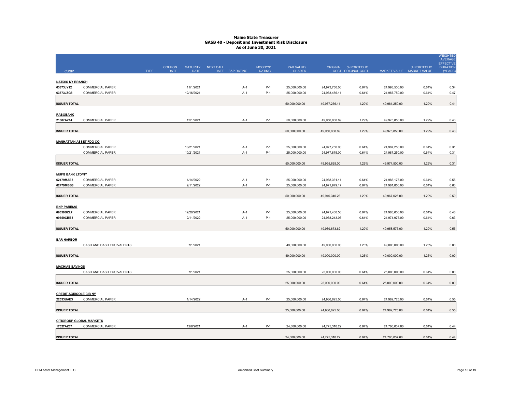|                                              |                           |             |                              |                         |           |                 |                          |                             |               |                                            |               |                                          | <b>WEIGHTED</b><br>AVERAGE<br><b>EFFECTIVE</b> |
|----------------------------------------------|---------------------------|-------------|------------------------------|-------------------------|-----------|-----------------|--------------------------|-----------------------------|---------------|--------------------------------------------|---------------|------------------------------------------|------------------------------------------------|
| <b>CUSIP</b>                                 |                           | <b>TYPE</b> | <b>COUPON</b><br><b>RATE</b> | <b>MATURITY</b><br>DATE | NEXT CALL | DATE S&P RATING | MOODYS'<br><b>RATING</b> | PAR VALUE/<br><b>SHARES</b> |               | ORIGINAL % PORTFOLIO<br>COST ORIGINAL COST |               | % PORTFOLIO<br>MARKET VALUE MARKET VALUE | <b>DURATION</b><br>(YEARS)                     |
|                                              |                           |             |                              |                         |           |                 |                          |                             |               |                                            |               |                                          |                                                |
| <b>NATIXIS NY BRANCH</b><br>63873JY12        | COMMERCIAL PAPER          |             |                              | 11/1/2021               |           | $A-1$           | $P-1$                    | 25,000,000.00               | 24,973,750.00 | 0.64%                                      | 24,993,500.00 | 0.64%                                    | 0.34                                           |
| 63873JZG8                                    | <b>COMMERCIAL PAPER</b>   |             |                              | 12/16/2021              |           | $A-1$           | $P-1$                    | 25,000,000.00               | 24,963,486.11 | 0.64%                                      | 24,987,750.00 | 0.64%                                    | 0.47                                           |
|                                              |                           |             |                              |                         |           |                 |                          |                             |               |                                            |               |                                          |                                                |
| <b>ISSUER TOTAL</b>                          |                           |             |                              |                         |           |                 |                          | 50,000,000.00               | 49,937,236.11 | 1.29%                                      | 49,981,250.00 | 1.29%                                    | 0.41                                           |
| <b>RABOBANK</b>                              |                           |             |                              |                         |           |                 |                          |                             |               |                                            |               |                                          |                                                |
| 21687AZ14                                    | COMMERCIAL PAPER          |             |                              | 12/1/2021               |           | $A-1$           | $P-1$                    | 50,000,000.00               | 49,950,888.89 | 1.29%                                      | 49,975,850.00 | 1.29%                                    | 0.43                                           |
| <b>ISSUER TOTAL</b>                          |                           |             |                              |                         |           |                 |                          | 50,000,000.00               | 49,950,888.89 | 1.29%                                      | 49,975,850.00 | 1.29%                                    | 0.43                                           |
| <b>MANHATTAN ASSET FDG CO</b>                |                           |             |                              |                         |           |                 |                          |                             |               |                                            |               |                                          |                                                |
|                                              | <b>COMMERCIAL PAPER</b>   |             |                              | 10/21/2021              |           | $A-1$           | $P-1$                    | 25,000,000.00               | 24,977,750.00 | 0.64%                                      | 24,987,250.00 | 0.64%                                    | 0.31                                           |
|                                              | COMMERCIAL PAPER          |             |                              | 10/21/2021              |           | $A-1$           | $P-1$                    | 25,000,000.00               | 24,977,875.00 | 0.64%                                      | 24,987,250.00 | 0.64%                                    | 0.31                                           |
| <b>ISSUER TOTAL</b>                          |                           |             |                              |                         |           |                 |                          | 50,000,000.00               | 49,955,625.00 | 1.29%                                      | 49,974,500.00 | 1.29%                                    | 0.31                                           |
|                                              |                           |             |                              |                         |           |                 |                          |                             |               |                                            |               |                                          |                                                |
| <b>MUFG BANK LTD/NY</b>                      |                           |             |                              |                         |           |                 |                          |                             |               |                                            |               |                                          |                                                |
| 62479MAE3                                    | COMMERCIAL PAPER          |             |                              | 1/14/2022               |           | $A-1$           | $P-1$                    | 25,000,000.00               | 24,968,361.11 | 0.64%                                      | 24,985,175.00 | 0.64%                                    | 0.55                                           |
| 62479MBB8                                    | <b>COMMERCIAL PAPER</b>   |             |                              | 2/11/2022               |           | $A-1$           | $P-1$                    | 25,000,000.00               | 24,971,979.17 | 0.64%                                      | 24,981,850.00 | 0.64%                                    | 0.63                                           |
| <b>ISSUER TOTAL</b>                          |                           |             |                              |                         |           |                 |                          | 50,000,000.00               | 49,940,340.28 | 1.29%                                      | 49,967,025.00 | 1.29%                                    | 0.59                                           |
|                                              |                           |             |                              |                         |           |                 |                          |                             |               |                                            |               |                                          |                                                |
| <b>BNP PARIBAS</b><br>09659BZL7              | COMMERCIAL PAPER          |             |                              | 12/20/2021              |           | $A-1$           | $P-1$                    | 25,000,000.00               | 24,971,430.56 | 0.64%                                      | 24,983,600.00 | 0.64%                                    | 0.48                                           |
| 09659CBB3                                    | <b>COMMERCIAL PAPER</b>   |             |                              | 2/11/2022               |           | $A-1$           | $P-1$                    | 25,000,000.00               | 24,968,243.06 | 0.64%                                      | 24,974,975.00 | 0.64%                                    | 0.63                                           |
|                                              |                           |             |                              |                         |           |                 |                          |                             |               |                                            |               |                                          |                                                |
| <b>ISSUER TOTAL</b>                          |                           |             |                              |                         |           |                 |                          | 50,000,000.00               | 49,939,673.62 | 1.29%                                      | 49,958,575.00 | 1.29%                                    | 0.55                                           |
| <b>BAR HARBOR</b>                            |                           |             |                              |                         |           |                 |                          |                             |               |                                            |               |                                          |                                                |
|                                              | CASH AND CASH EQUIVALENTS |             |                              | 7/1/2021                |           |                 |                          | 49,000,000.00               | 49,000,000.00 | 1.26%                                      | 49,000,000.00 | 1.26%                                    | 0.00                                           |
| <b>ISSUER TOTAL</b>                          |                           |             |                              |                         |           |                 |                          | 49,000,000.00               | 49,000,000.00 | 1.26%                                      | 49,000,000.00 | 1.26%                                    | 0.00                                           |
|                                              |                           |             |                              |                         |           |                 |                          |                             |               |                                            |               |                                          |                                                |
| <b>MACHIAS SAVINGS</b>                       | CASH AND CASH EQUIVALENTS |             |                              | 7/1/2021                |           |                 |                          | 25,000,000.00               | 25,000,000.00 | 0.64%                                      | 25,000,000.00 | 0.64%                                    | 0.00                                           |
|                                              |                           |             |                              |                         |           |                 |                          |                             |               |                                            |               |                                          |                                                |
| <b>ISSUER TOTAL</b>                          |                           |             |                              |                         |           |                 |                          | 25,000,000.00               | 25,000,000.00 | 0.64%                                      | 25,000,000.00 | 0.64%                                    | 0.00                                           |
| <b>CREDIT AGRICOLE CIB NY</b>                |                           |             |                              |                         |           |                 |                          |                             |               |                                            |               |                                          |                                                |
| 22533UAE3                                    | <b>COMMERCIAL PAPER</b>   |             |                              | 1/14/2022               |           | A-1             | $P-1$                    | 25,000,000.00               | 24,966,625.00 | 0.64%                                      | 24,982,725.00 | 0.64%                                    | 0.55                                           |
| <b>ISSUER TOTAL</b>                          |                           |             |                              |                         |           |                 |                          | 25.000.000.00               | 24,966,625.00 | 0.64%                                      | 24,982,725.00 | 0.64%                                    | 0.55                                           |
|                                              |                           |             |                              |                         |           |                 |                          |                             |               |                                            |               |                                          |                                                |
| <b>CITIGROUP GLOBAL MARKETS</b><br>17327AZ67 | <b>COMMERCIAL PAPER</b>   |             |                              | 12/6/2021               |           | $A-1$           | $P-1$                    | 24,800,000.00               | 24,775,310.22 | 0.64%                                      | 24,786,037.60 | 0.64%                                    | 0.44                                           |
|                                              |                           |             |                              |                         |           |                 |                          |                             |               |                                            |               |                                          |                                                |
| <b>ISSUER TOTAL</b>                          |                           |             |                              |                         |           |                 |                          | 24,800,000.00               | 24,775,310.22 | 0.64%                                      | 24,786,037.60 | 0.64%                                    | 0.44                                           |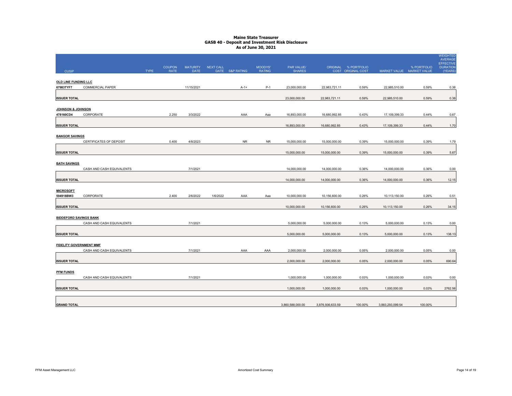|                                |                           |             | <b>COUPON</b> | <b>MATURITY</b> | <b>NEXT CALL</b> |                 | MOODYS'       | PAR VALUE/       |                  | ORIGINAL % PORTFOLIO |                  | % PORTFOLIO               | <b>WEIGHTED</b><br><b>AVERAGE</b><br><b>EFFECTIVE</b><br><b>DURATION</b> |
|--------------------------------|---------------------------|-------------|---------------|-----------------|------------------|-----------------|---------------|------------------|------------------|----------------------|------------------|---------------------------|--------------------------------------------------------------------------|
| <b>CUSIP</b>                   |                           | <b>TYPE</b> | <b>RATE</b>   | <b>DATE</b>     |                  | DATE S&P RATING | <b>RATING</b> | <b>SHARES</b>    |                  | COST ORIGINAL COST   |                  | MARKET VALUE MARKET VALUE | (YEARS)                                                                  |
| <b>OLD LINE FUNDING LLC</b>    |                           |             |               |                 |                  |                 |               |                  |                  |                      |                  |                           |                                                                          |
| 67983TYF7                      | <b>COMMERCIAL PAPER</b>   |             |               | 11/15/2021      |                  | $A-1+$          | $P-1$         | 23,000,000.00    | 22,983,721.11    | 0.59%                | 22,985,510.00    | 0.59%                     | 0.38                                                                     |
| <b>ISSUER TOTAL</b>            |                           |             |               |                 |                  |                 |               | 23.000.000.00    | 22.983.721.11    | 0.59%                | 22.985.510.00    | 0.59%                     | 0.38                                                                     |
| JOHNSON & JOHNSON              |                           |             |               |                 |                  |                 |               |                  |                  |                      |                  |                           |                                                                          |
| 478160CD4                      | CORPORATE                 |             | 2.250         | 3/3/2022        |                  | AAA             | Aaa           | 16,893,000.00    | 16,680,992.85    | 0.43%                | 17,109,399.33    | 0.44%                     | 0.67                                                                     |
| <b>ISSUER TOTAL</b>            |                           |             |               |                 |                  |                 |               | 16.893.000.00    | 16.680.992.85    | 0.43%                | 17,109,399.33    | 0.44%                     | 1.70                                                                     |
| <b>BANGOR SAVINGS</b>          |                           |             |               |                 |                  |                 |               |                  |                  |                      |                  |                           |                                                                          |
|                                | CERTIFICATES OF DEPOSIT   |             | 0.400         | 4/8/2023        |                  | NR              | NR.           | 15,000,000.00    | 15,000,000.00    | 0.39%                | 15,000,000.00    | 0.39%                     | 1.79                                                                     |
| <b>ISSUER TOTAL</b>            |                           |             |               |                 |                  |                 |               | 15,000,000.00    | 15,000,000.00    | 0.39%                | 15,000,000.00    | 0.39%                     | 5.67                                                                     |
| <b>BATH SAVINGS</b>            |                           |             |               |                 |                  |                 |               |                  |                  |                      |                  |                           |                                                                          |
|                                | CASH AND CASH EQUIVALENTS |             |               | 7/1/2021        |                  |                 |               | 14,000,000.00    | 14,000,000.00    | 0.36%                | 14,000,000.00    | 0.36%                     | 0.00                                                                     |
| <b>ISSUER TOTAL</b>            |                           |             |               |                 |                  |                 |               | 14,000,000.00    | 14,000,000.00    | 0.36%                | 14,000,000.00    | 0.36%                     | 12.15                                                                    |
| <b>MICROSOFT</b>               |                           |             |               |                 |                  |                 |               |                  |                  |                      |                  |                           |                                                                          |
| 594918BW3                      | CORPORATE                 |             | 2.400         | 2/6/2022        | 1/6/2022         | AAA             | Aaa           | 10,000,000.00    | 10,156,600.00    | 0.26%                | 10,113,150.00    | 0.26%                     | 0.51                                                                     |
| <b>ISSUER TOTAL</b>            |                           |             |               |                 |                  |                 |               | 10,000,000.00    | 10,156,600.00    | 0.26%                | 10,113,150.00    | 0.26%                     | 34.15                                                                    |
| <b>BIDDEFORD SAVINGS BANK</b>  |                           |             |               |                 |                  |                 |               |                  |                  |                      |                  |                           |                                                                          |
|                                | CASH AND CASH EQUIVALENTS |             |               | 7/1/2021        |                  |                 |               | 5,000,000.00     | 5,000,000.00     | 0.13%                | 5,000,000.00     | 0.13%                     | 0.00                                                                     |
| <b>ISSUER TOTAL</b>            |                           |             |               |                 |                  |                 |               | 5,000,000.00     | 5,000,000.00     | 0.13%                | 5,000,000.00     | 0.13%                     | 138.13                                                                   |
| <b>FIDELITY GOVERNMENT MMF</b> |                           |             |               |                 |                  |                 |               |                  |                  |                      |                  |                           |                                                                          |
|                                | CASH AND CASH EQUIVALENTS |             |               | 7/1/2021        |                  | AAA             | AAA           | 2,000,000.00     | 2,000,000.00     | 0.05%                | 2,000,000.00     | 0.05%                     | 0.00                                                                     |
| <b>ISSUER TOTAL</b>            |                           |             |               |                 |                  |                 |               | 2,000,000.00     | 2,000,000.00     | 0.05%                | 2,000,000.00     | 0.05%                     | 690.64                                                                   |
| <b>PFM FUNDS</b>               |                           |             |               |                 |                  |                 |               |                  |                  |                      |                  |                           |                                                                          |
|                                | CASH AND CASH EQUIVALENTS |             |               | 7/1/2021        |                  |                 |               | 1.000.000.00     | 1,000,000.00     | 0.03%                | 1,000,000.00     | 0.03%                     | 0.00                                                                     |
|                                |                           |             |               |                 |                  |                 |               |                  |                  |                      |                  |                           |                                                                          |
| <b>ISSUER TOTAL</b>            |                           |             |               |                 |                  |                 |               | 1,000,000.00     | 1,000,000.00     | 0.03%                | 1,000,000.00     | 0.03%                     | 2762.56                                                                  |
|                                |                           |             |               |                 |                  |                 |               |                  |                  |                      |                  |                           |                                                                          |
| <b>GRAND TOTAL</b>             |                           |             |               |                 |                  |                 |               | 3,860,588,000.00 | 3,876,936,633.59 | 100.00%              | 3,883,293,099.54 | 100.00%                   |                                                                          |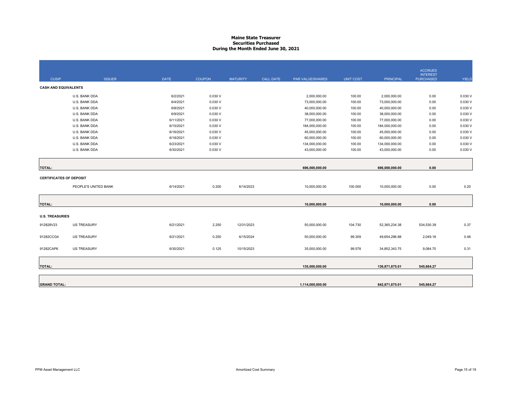#### **Maine State Treasurer Securities PurchasedDuring the Month Ended June 30, 2021**

|                                |                      |             |               |                 |                  |                  |                  |                  | <b>ACCRUED</b>                      |         |
|--------------------------------|----------------------|-------------|---------------|-----------------|------------------|------------------|------------------|------------------|-------------------------------------|---------|
| <b>CUSIP</b>                   | <b>ISSUER</b>        | <b>DATE</b> | <b>COUPON</b> | <b>MATURITY</b> | <b>CALL DATE</b> | PAR VALUE/SHARES | <b>UNIT COST</b> | <b>PRINCIPAL</b> | <b>INTEREST</b><br><b>PURCHASED</b> | YIELD   |
|                                |                      |             |               |                 |                  |                  |                  |                  |                                     |         |
| <b>CASH AND EQUIVALENTS</b>    |                      |             |               |                 |                  |                  |                  |                  |                                     |         |
|                                | U.S. BANK DDA        | 6/2/2021    | 0.030V        |                 |                  | 2,000,000.00     | 100.00           | 2,000,000.00     | 0.00                                | 0.030 V |
|                                | U.S. BANK DDA        | 6/4/2021    | 0.030V        |                 |                  | 73,000,000.00    | 100.00           | 73,000,000.00    | 0.00                                | 0.030 V |
|                                | U.S. BANK DDA        | 6/8/2021    | 0.030V        |                 |                  | 40,000,000.00    | 100.00           | 40,000,000.00    | 0.00                                | 0.030 V |
|                                | U.S. BANK DDA        | 6/9/2021    | 0.030V        |                 |                  | 38,000,000.00    | 100.00           | 38,000,000.00    | 0.00                                | 0.030 V |
|                                | U.S. BANK DDA        | 6/11/2021   | 0.030V        |                 |                  | 77,000,000.00    | 100.00           | 77,000,000.00    | 0.00                                | 0.030 V |
|                                | U.S. BANK DDA        | 6/15/2021   | 0.030V        |                 |                  | 184,000,000.00   | 100.00           | 184,000,000.00   | 0.00                                | 0.030 V |
|                                | U.S. BANK DDA        | 6/16/2021   | 0.030V        |                 |                  | 45,000,000.00    | 100.00           | 45,000,000.00    | 0.00                                | 0.030 V |
|                                | U.S. BANK DDA        | 6/18/2021   | 0.030V        |                 |                  | 60,000,000.00    | 100.00           | 60,000,000.00    | 0.00                                | 0.030 V |
|                                | U.S. BANK DDA        | 6/23/2021   | 0.030 V       |                 |                  | 134,000,000.00   | 100.00           | 134,000,000.00   | 0.00                                | 0.030 V |
|                                | U.S. BANK DDA        | 6/30/2021   | 0.030V        |                 |                  | 43,000,000.00    | 100.00           | 43,000,000.00    | 0.00                                | 0.030 V |
|                                |                      |             |               |                 |                  |                  |                  |                  |                                     |         |
| <b>TOTAL:</b>                  |                      |             |               |                 |                  | 696,000,000.00   |                  | 696,000,000.00   | 0.00                                |         |
| <b>CERTIFICATES OF DEPOSIT</b> |                      |             |               |                 |                  |                  |                  |                  |                                     |         |
|                                | PEOPLE'S UNITED BANK | 6/14/2021   | 0.200         | 6/14/2023       |                  | 10,000,000.00    | 100.000          | 10,000,000.00    | 0.00                                | 0.20    |
|                                |                      |             |               |                 |                  |                  |                  |                  |                                     |         |
| <b>TOTAL:</b>                  |                      |             |               |                 |                  | 10,000,000.00    |                  | 10,000,000.00    | 0.00                                |         |
| <b>U.S. TREASURIES</b>         |                      |             |               |                 |                  |                  |                  |                  |                                     |         |
| 912828V23                      | <b>US TREASURY</b>   | 6/21/2021   | 2.250         | 12/31/2023      |                  | 50,000,000.00    | 104.730          | 52,365,234.38    | 534,530.39                          | 0.37    |
| 91282CCG4                      | <b>US TREASURY</b>   | 6/21/2021   | 0.250         | 6/15/2024       |                  | 50,000,000.00    | 99.309           | 49,654,296.88    | 2,049.18                            | 0.48    |
| 91282CAP6                      | <b>US TREASURY</b>   | 6/30/2021   | 0.125         | 10/15/2023      |                  | 35,000,000.00    | 99.578           | 34,852,343.75    | 9,084.70                            | 0.31    |
|                                |                      |             |               |                 |                  |                  |                  |                  |                                     |         |
| <b>TOTAL:</b>                  |                      |             |               |                 |                  | 135,000,000.00   |                  | 136,871,875.01   | 545,664.27                          |         |
|                                |                      |             |               |                 |                  |                  |                  |                  |                                     |         |
|                                |                      |             |               |                 |                  |                  |                  |                  |                                     |         |
| <b>GRAND TOTAL:</b>            |                      |             |               |                 |                  | 1,114,000,000.00 |                  | 842,871,875.01   | 545,664.27                          |         |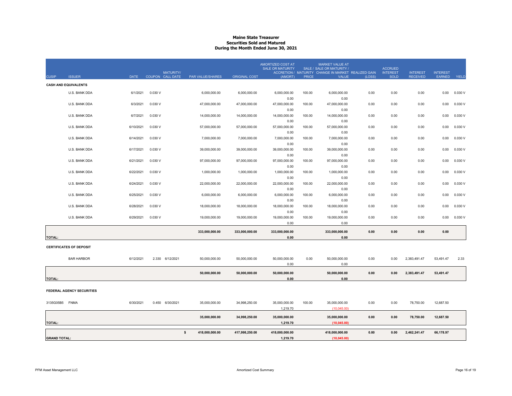# **Maine State TreasurerSecurities Sold and Matured During the Month Ended June 30, 2021**

| <b>CUSIP</b>        | <b>ISSUER</b>                  | DATE      | <b>MATURITY/</b><br>COUPON CALL DATE | <b>PAR VALUE/SHARES</b> | <b>ORIGINAL COST</b> | AMORTIZED COST AT<br><b>SALE OR MATURITY</b><br>(AMORT) | <b>PRICE</b> | <b>MARKET VALUE AT</b><br>SALE / SALE OR MATURITY /<br>ACCRETION / MATURITY CHANGE IN MARKET REALIZED GAIN<br>VALUE | (LOSS) | <b>ACCRUED</b><br><b>INTEREST</b><br><b>SOLD</b> | <b>INTEREST</b><br><b>RECEIVED</b> | <b>INTEREST</b><br><b>EARNED</b> | YIELD   |
|---------------------|--------------------------------|-----------|--------------------------------------|-------------------------|----------------------|---------------------------------------------------------|--------------|---------------------------------------------------------------------------------------------------------------------|--------|--------------------------------------------------|------------------------------------|----------------------------------|---------|
|                     | <b>CASH AND EQUIVALENTS</b>    |           |                                      |                         |                      |                                                         |              |                                                                                                                     |        |                                                  |                                    |                                  |         |
|                     | U.S. BANK DDA                  | 6/1/2021  | 0.030V                               | 6,000,000.00            | 6,000,000.00         | 6.000.000.00                                            | 100.00       | 6,000,000.00                                                                                                        | 0.00   | 0.00                                             | 0.00                               | 0.00                             | 0.030V  |
|                     |                                |           |                                      |                         |                      | 0.00                                                    |              | 0.00                                                                                                                |        |                                                  |                                    |                                  |         |
|                     | U.S. BANK DDA                  | 6/3/2021  | 0.030V                               | 47,000,000.00           | 47,000,000.00        | 47,000,000.00                                           | 100.00       | 47,000,000.00                                                                                                       | 0.00   | 0.00                                             | 0.00                               | 0.00                             | 0.030 V |
|                     |                                |           |                                      |                         |                      | 0.00                                                    |              | 0.00                                                                                                                |        |                                                  |                                    |                                  |         |
|                     | U.S. BANK DDA                  | 6/7/2021  | 0.030 V                              | 14,000,000.00           | 14,000,000.00        | 14,000,000.00                                           | 100.00       | 14,000,000.00                                                                                                       | 0.00   | 0.00                                             | 0.00                               | 0.00                             | 0.030 V |
|                     |                                |           |                                      |                         |                      | 0.00                                                    |              | 0.00                                                                                                                |        |                                                  |                                    |                                  |         |
|                     | U.S. BANK DDA                  | 6/10/2021 | 0.030V                               | 57,000,000.00           | 57,000,000.00        | 57,000,000.00                                           | 100.00       | 57,000,000.00                                                                                                       | 0.00   | 0.00                                             | 0.00                               | 0.00                             | 0.030 V |
|                     |                                |           |                                      |                         |                      | 0.00                                                    |              | 0.00                                                                                                                |        |                                                  |                                    |                                  |         |
|                     | U.S. BANK DDA                  | 6/14/2021 | 0.030V                               | 7,000,000.00            | 7,000,000.00         | 7,000,000.00                                            | 100.00       | 7,000,000.00                                                                                                        | 0.00   | 0.00                                             | 0.00                               | 0.00                             | 0.030 V |
|                     |                                |           |                                      |                         |                      | 0.00                                                    |              | 0.00                                                                                                                |        |                                                  |                                    |                                  |         |
|                     | U.S. BANK DDA                  | 6/17/2021 | 0.030V                               | 39,000,000.00           | 39,000,000.00        | 39,000,000.00                                           | 100.00       | 39,000,000.00                                                                                                       | 0.00   | 0.00                                             | 0.00                               | 0.00                             | 0.030 V |
|                     | U.S. BANK DDA                  | 6/21/2021 | 0.030V                               | 97,000,000.00           | 97,000,000.00        | 0.00<br>97,000,000.00                                   | 100.00       | 0.00<br>97,000,000.00                                                                                               | 0.00   | 0.00                                             | 0.00                               | 0.00                             | 0.030 V |
|                     |                                |           |                                      |                         |                      | 0.00                                                    |              | 0.00                                                                                                                |        |                                                  |                                    |                                  |         |
|                     | U.S. BANK DDA                  | 6/22/2021 | 0.030V                               | 1,000,000.00            | 1,000,000.00         | 1,000,000.00                                            | 100.00       | 1,000,000.00                                                                                                        | 0.00   | 0.00                                             | 0.00                               | 0.00                             | 0.030 V |
|                     |                                |           |                                      |                         |                      | 0.00                                                    |              | 0.00                                                                                                                |        |                                                  |                                    |                                  |         |
|                     | U.S. BANK DDA                  | 6/24/2021 | 0.030V                               | 22,000,000.00           | 22,000,000.00        | 22,000,000.00                                           | 100.00       | 22,000,000.00                                                                                                       | 0.00   | 0.00                                             | 0.00                               | 0.00                             | 0.030 V |
|                     |                                |           |                                      |                         |                      | 0.00                                                    |              | 0.00                                                                                                                |        |                                                  |                                    |                                  |         |
|                     | U.S. BANK DDA                  | 6/25/2021 | 0.030V                               | 6,000,000.00            | 6,000,000.00         | 6,000,000.00                                            | 100.00       | 6,000,000.00                                                                                                        | 0.00   | 0.00                                             | 0.00                               | 0.00                             | 0.030 V |
|                     |                                |           |                                      |                         |                      | 0.00                                                    |              | 0.00                                                                                                                |        |                                                  |                                    |                                  |         |
|                     | U.S. BANK DDA                  | 6/28/2021 | 0.030V                               | 18,000,000.00           | 18,000,000.00        | 18,000,000.00                                           | 100.00       | 18,000,000.00                                                                                                       | 0.00   | 0.00                                             | 0.00                               | 0.00                             | 0.030 V |
|                     |                                |           |                                      |                         |                      | 0.00                                                    |              | 0.00                                                                                                                |        |                                                  |                                    |                                  |         |
|                     | U.S. BANK DDA                  | 6/29/2021 | 0.030V                               | 19,000,000.00           | 19,000,000.00        | 19,000,000.00                                           | 100.00       | 19,000,000.00                                                                                                       | 0.00   | 0.00                                             | 0.00                               | 0.00                             | 0.030V  |
|                     |                                |           |                                      |                         |                      | 0.00                                                    |              | 0.00                                                                                                                |        |                                                  |                                    |                                  |         |
|                     |                                |           |                                      |                         |                      |                                                         |              |                                                                                                                     |        |                                                  |                                    |                                  |         |
| <b>TOTAL:</b>       |                                |           |                                      | 333,000,000.00          | 333,000,000.00       | 333,000,000.00<br>0.00                                  |              | 333,000,000.00<br>0.00                                                                                              | 0.00   | 0.00                                             | 0.00                               | 0.00                             |         |
|                     |                                |           |                                      |                         |                      |                                                         |              |                                                                                                                     |        |                                                  |                                    |                                  |         |
|                     | <b>CERTIFICATES OF DEPOSIT</b> |           |                                      |                         |                      |                                                         |              |                                                                                                                     |        |                                                  |                                    |                                  |         |
|                     |                                |           |                                      |                         |                      |                                                         |              |                                                                                                                     |        |                                                  |                                    |                                  |         |
|                     | <b>BAR HARBOR</b>              | 6/12/2021 | 2.330 6/12/2021                      | 50,000,000.00           | 50,000,000.00        | 50,000,000.00                                           | 0.00         | 50,000,000.00                                                                                                       | 0.00   | 0.00                                             | 2,383,491.47                       | 53,491.47                        | 2.33    |
|                     |                                |           |                                      |                         |                      | 0.00                                                    |              | 0.00                                                                                                                |        |                                                  |                                    |                                  |         |
|                     |                                |           |                                      | 50,000,000.00           | 50,000,000.00        | 50,000,000.00                                           |              | 50,000,000.00                                                                                                       | 0.00   | 0.00                                             | 2,383,491.47                       | 53,491.47                        |         |
| <b>TOTAL:</b>       |                                |           |                                      |                         |                      | 0.00                                                    |              | 0.00                                                                                                                |        |                                                  |                                    |                                  |         |
|                     |                                |           |                                      |                         |                      |                                                         |              |                                                                                                                     |        |                                                  |                                    |                                  |         |
|                     | FEDERAL AGENCY SECURITIES      |           |                                      |                         |                      |                                                         |              |                                                                                                                     |        |                                                  |                                    |                                  |         |
|                     |                                |           |                                      |                         |                      |                                                         |              |                                                                                                                     |        |                                                  |                                    |                                  |         |
| 3135G05B5 FNMA      |                                | 6/30/2021 | 0.450 6/30/2021                      |                         |                      |                                                         | 100.00       |                                                                                                                     | 0.00   | 0.00                                             | 78,750.00                          | 12,687.50                        |         |
|                     |                                |           |                                      | 35,000,000.00           | 34,998,250.00        | 35,000,000.00<br>1,219.70                               |              | 35,000,000.00<br>(10,045.00)                                                                                        |        |                                                  |                                    |                                  |         |
|                     |                                |           |                                      |                         |                      |                                                         |              |                                                                                                                     |        |                                                  |                                    |                                  |         |
|                     |                                |           |                                      | 35,000,000.00           | 34,998,250.00        | 35,000,000.00                                           |              | 35,000,000.00                                                                                                       | 0.00   | 0.00                                             | 78,750.00                          | 12,687.50                        |         |
| <b>TOTAL:</b>       |                                |           |                                      |                         |                      | 1,219.70                                                |              | (10.045.00)                                                                                                         |        |                                                  |                                    |                                  |         |
|                     |                                |           |                                      |                         |                      |                                                         |              |                                                                                                                     |        |                                                  |                                    |                                  |         |
|                     |                                |           |                                      | s.<br>418.000.000.00    | 417,998,250.00       | 418,000,000.00                                          |              | 418,000,000.00                                                                                                      | 0.00   | 0.00                                             | 2,462,241.47                       | 66,178.97                        |         |
| <b>GRAND TOTAL:</b> |                                |           |                                      |                         |                      | 1,219.70                                                |              | (10,045.00)                                                                                                         |        |                                                  |                                    |                                  |         |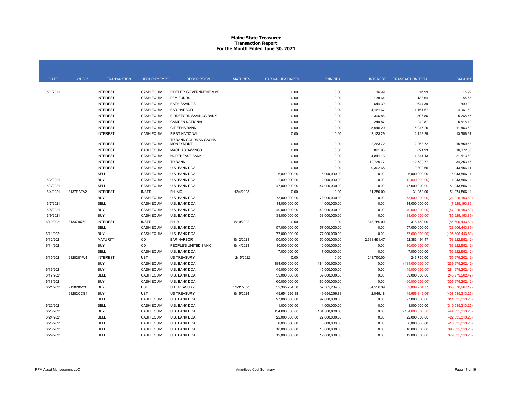#### **Maine State Treasurer Transaction Report For the Month Ended June 30, 2021**

| <b>DATE</b> | <b>CUSIP</b> | <b>TRANSACTION</b> | <b>SECURITY TYPE</b> | <b>DESCRIPTION</b>                        | <b>MATURITY</b> | PAR VALUE/SHARES | <b>PRINCIPAL</b> | <b>INTEREST</b> | <b>TRANSACTION TOTAL</b> | <b>BALANCE</b>     |
|-------------|--------------|--------------------|----------------------|-------------------------------------------|-----------------|------------------|------------------|-----------------|--------------------------|--------------------|
|             |              |                    |                      |                                           |                 |                  |                  |                 |                          |                    |
| 6/1/2021    |              | <b>INTEREST</b>    | <b>CASH EQUIV</b>    | FIDELITY GOVERNMENT MMF                   |                 | 0.00             | 0.00             | 16.99           | 16.99                    | 16.99              |
|             |              | <b>INTEREST</b>    | <b>CASH EQUIV</b>    | PFM FUNDS                                 |                 | 0.00             | 0.00             | 138.64          | 138.64                   | 155.63             |
|             |              | <b>INTEREST</b>    | <b>CASH EQUIV</b>    | <b>BATH SAVINGS</b>                       |                 | 0.00             | 0.00             | 644.39          | 644.39                   | 800.02             |
|             |              | <b>INTEREST</b>    | <b>CASH EQUIV</b>    | <b>BAR HARBOR</b>                         |                 | 0.00             | 0.00             | 4,161.67        | 4,161.67                 | 4,961.69           |
|             |              | <b>INTEREST</b>    | <b>CASH EQUIV</b>    | <b>BIDDEFORD SAVINGS BANK</b>             |                 | 0.00             | 0.00             | 306.86          | 306.86                   | 5,268.55           |
|             |              | <b>INTEREST</b>    | <b>CASH EQUIV</b>    | <b>CAMDEN NATIONAL</b>                    |                 | 0.00             | 0.00             | 249.87          | 249.87                   | 5,518.42           |
|             |              | <b>INTEREST</b>    | <b>CASH EQUIV</b>    | <b>CITIZENS BANK</b>                      |                 | 0.00             | 0.00             | 5,945.20        | 5,945.20                 | 11,463.62          |
|             |              | <b>INTEREST</b>    | CASH EQUIV           | <b>FIRST NATIONAL</b>                     |                 | 0.00             | 0.00             | 2,123.29        | 2,123.29                 | 13,586.91          |
|             |              | <b>INTEREST</b>    | <b>CASH EQUIV</b>    | TD BANK GOLDMAN SACHS<br><b>MONEYMRKT</b> |                 | 0.00             | 0.00             | 2,263.72        | 2,263.72                 | 15,850.63          |
|             |              | <b>INTEREST</b>    | <b>CASH EQUIV</b>    | <b>MACHIAS SAVINGS</b>                    |                 | 0.00             | 0.00             | 821.93          | 821.93                   | 16,672.56          |
|             |              | <b>INTEREST</b>    | <b>CASH EQUIV</b>    | NORTHEAST BANK                            |                 | 0.00             | 0.00             | 4,841.13        | 4,841.13                 | 21,513.69          |
|             |              | <b>INTEREST</b>    | <b>CASH EQUIV</b>    | <b>TD BANK</b>                            |                 | 0.00             | 0.00             | 12,739.77       | 12,739.77                | 34,253.46          |
|             |              | <b>INTEREST</b>    | <b>CASH EQUIV</b>    | U.S. BANK DDA                             |                 | 0.00             | 0.00             | 9,302.65        | 9,302.65                 | 43,556.11          |
|             |              | SELL               | <b>CASH EQUIV</b>    | U.S. BANK DDA                             |                 | 6,000,000.00     | 6,000,000.00     | 0.00            | 6,000,000.00             | 6,043,556.11       |
| 6/2/2021    |              | <b>BUY</b>         | <b>CASH EQUIV</b>    | U.S. BANK DDA                             |                 | 2,000,000.00     | 2,000,000.00     | 0.00            | (2,000,000.00)           | 4,043,556.11       |
| 6/3/2021    |              | SELL               | <b>CASH EQUIV</b>    | U.S. BANK DDA                             |                 | 47,000,000.00    | 47,000,000.00    | 0.00            | 47,000,000.00            | 51,043,556.11      |
| 6/4/2021    | 3137EAFA2    | <b>INTEREST</b>    | <b>INSTR</b>         | <b>FHLMC</b>                              | 12/4/2023       | 0.00             | 0.00             | 31,250.00       | 31,250.00                | 51.074.806.11      |
|             |              | <b>BUY</b>         | <b>CASH EQUIV</b>    | U.S. BANK DDA                             |                 | 73,000,000.00    | 73,000,000.00    | 0.00            | (73,000,000.00)          | (21, 925, 193.89)  |
| 6/7/2021    |              | SELL               | <b>CASH EQUIV</b>    | U.S. BANK DDA                             |                 | 14,000,000.00    | 14,000,000.00    | 0.00            | 14,000,000.00            | (7,925,193.89)     |
| 6/8/2021    |              | <b>BUY</b>         | <b>CASH EQUIV</b>    | U.S. BANK DDA                             |                 | 40,000,000.00    | 40,000,000.00    | 0.00            | (40,000,000.00)          | (47, 925, 193.89)  |
| 6/9/2021    |              | <b>BUY</b>         | <b>CASH EQUIV</b>    | U.S. BANK DDA                             |                 | 38,000,000.00    | 38,000,000.00    | 0.00            | (38,000,000.00)          | (85,925,193.89)    |
| 6/10/2021   | 313379Q69    | <b>INTEREST</b>    | <b>INSTR</b>         | <b>FHLB</b>                               | 6/10/2022       | 0.00             | 0.00             | 318,750.00      | 318,750.00               | (85,606,443.89)    |
|             |              | SELL               | <b>CASH EQUIV</b>    | U.S. BANK DDA                             |                 | 57,000,000.00    | 57,000,000.00    | 0.00            | 57,000,000.00            | (28,606,443.89)    |
| 6/11/2021   |              | <b>BUY</b>         | <b>CASH EQUIV</b>    | U.S. BANK DDA                             |                 | 77,000,000.00    | 77,000,000.00    | 0.00            | (77,000,000.00)          | (105,606,443.89)   |
| 6/12/2021   |              | <b>MATURITY</b>    | CD                   | <b>BAR HARBOR</b>                         | 6/12/2021       | 50,000,000.00    | 50,000,000.00    | 2,383,491.47    | 52,383,491.47            | (53, 222, 952.42)  |
| 6/14/2021   |              | <b>BUY</b>         | CD                   | PEOPLE'S UNITED BANK                      | 6/14/2023       | 10,000,000.00    | 10,000,000.00    | 0.00            | (10,000,000.00)          | (63, 222, 952, 42) |
|             |              | SELL               | <b>CASH EQUIV</b>    | U.S. BANK DDA                             |                 | 7,000,000.00     | 7,000,000.00     | 0.00            | 7,000,000.00             | (56, 222, 952.42)  |
| 6/15/2021   | 912828YW4    | <b>INTEREST</b>    | <b>UST</b>           | <b>US TREASURY</b>                        | 12/15/2022      | 0.00             | 0.00             | 243,750.00      | 243,750.00               | (55,979,202.42)    |
|             |              | <b>BUY</b>         | <b>CASH EQUIV</b>    | U.S. BANK DDA                             |                 | 184,000,000.00   | 184,000,000.00   | 0.00            | (184,000,000.00)         | (239, 979, 202.42) |
| 6/16/2021   |              | <b>BUY</b>         | <b>CASH EQUIV</b>    | U.S. BANK DDA                             |                 | 45,000,000.00    | 45,000,000.00    | 0.00            | (45,000,000.00)          | (284, 979, 202.42) |
| 6/17/2021   |              | SELL               | <b>CASH EQUIV</b>    | U.S. BANK DDA                             |                 | 39,000,000.00    | 39,000,000.00    | 0.00            | 39,000,000.00            | (245.979.202.42)   |
| 6/18/2021   |              | <b>BUY</b>         | <b>CASH EQUIV</b>    | U.S. BANK DDA                             |                 | 60,000,000.00    | 60,000,000.00    | 0.00            | (60,000,000.00)          | (305, 979, 202.42) |
| 6/21/2021   | 912828V23    | <b>BUY</b>         | <b>UST</b>           | <b>US TREASURY</b>                        | 12/31/2023      | 52,365,234.38    | 52,365,234.38    | 534,530.39      | (52,899,764.77)          | (358, 878, 967.19) |
|             | 91282CCG4    | <b>BUY</b>         | <b>UST</b>           | <b>US TREASURY</b>                        | 6/15/2024       | 49,654,296.88    | 49,654,296.88    | 2,049.18        | (49,656,346.06)          | (408, 535, 313.25) |
|             |              | SELL               | <b>CASH EQUIV</b>    | U.S. BANK DDA                             |                 | 97,000,000.00    | 97,000,000.00    | 0.00            | 97,000,000.00            | (311, 535, 313.25) |
| 6/22/2021   |              | SELL               | <b>CASH EQUIV</b>    | U.S. BANK DDA                             |                 | 1,000,000.00     | 1,000,000.00     | 0.00            | 1,000,000.00             | (310, 535, 313.25) |
| 6/23/2021   |              | <b>BUY</b>         | <b>CASH EQUIV</b>    | U.S. BANK DDA                             |                 | 134,000,000.00   | 134,000,000.00   | 0.00            | (134,000,000.00)         | (444, 535, 313.25) |
| 6/24/2021   |              | SELL               | <b>CASH EQUIV</b>    | U.S. BANK DDA                             |                 | 22,000,000.00    | 22,000,000.00    | 0.00            | 22,000,000.00            | (422, 535, 313.25) |
| 6/25/2021   |              | SELL               | <b>CASH EQUIV</b>    | U.S. BANK DDA                             |                 | 6,000,000.00     | 6,000,000.00     | 0.00            | 6,000,000.00             | (416, 535, 313.25) |
| 6/28/2021   |              | <b>SELL</b>        | <b>CASH EQUIV</b>    | U.S. BANK DDA                             |                 | 18,000,000.00    | 18,000,000.00    | 0.00            | 18,000,000.00            | (398, 535, 313.25) |
| 6/29/2021   |              | SELL               | <b>CASH EQUIV</b>    | U.S. BANK DDA                             |                 | 19,000,000.00    | 19,000,000.00    | 0.00            | 19,000,000.00            | (379, 535, 313.25) |
|             |              |                    |                      |                                           |                 |                  |                  |                 |                          |                    |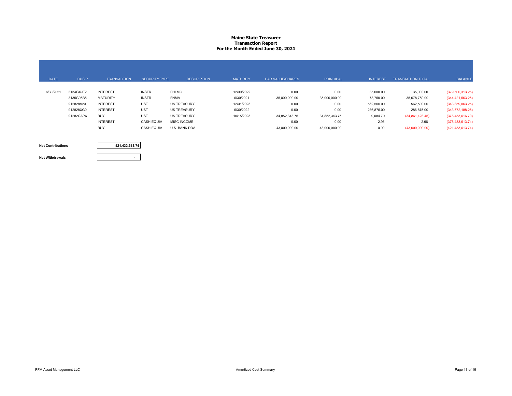#### **Maine State Treasurer Transaction Report For the Month Ended June 30, 2021**

| <b>DATE</b> | <b>CUSIP</b> | <b>TRANSACTION</b> | <b>SECURITY TYPE</b> | <b>DESCRIPTION</b> | <b>MATURITY</b> | <b>PAR VALUE/SHARES</b> | <b>PRINCIPAL</b> | <b>INTEREST</b> | <b>TRANSACTION TOTAL</b> | <b>BALANCE</b>      |
|-------------|--------------|--------------------|----------------------|--------------------|-----------------|-------------------------|------------------|-----------------|--------------------------|---------------------|
|             |              |                    |                      |                    |                 |                         |                  |                 |                          |                     |
| 6/30/2021   | 3134GXJF2    | <b>INTEREST</b>    | <b>INSTR</b>         | <b>FHLMC</b>       | 12/30/2022      | 0.00                    | 0.00             | 35,000.00       | 35,000.00                | (379, 500, 313.25)  |
|             | 3135G05B5    | <b>MATURITY</b>    | <b>INSTR</b>         | <b>FNMA</b>        | 6/30/2021       | 35,000,000.00           | 35,000,000.00    | 78,750.00       | 35,078,750.00            | (344, 421, 563.25)  |
|             | 912828V23    | <b>INTEREST</b>    | <b>UST</b>           | <b>US TREASURY</b> | 12/31/2023      | 0.00                    | 0.00             | 562,500.00      | 562,500.00               | (343,859,063.25)    |
|             | 912828XG0    | <b>INTEREST</b>    | <b>UST</b>           | <b>US TREASURY</b> | 6/30/2022       | 0.00                    | 0.00             | 286,875.00      | 286,875.00               | (343,572,188.25)    |
|             | 91282CAP6    | <b>BUY</b>         | <b>UST</b>           | <b>US TREASURY</b> | 10/15/2023      | 34.852.343.75           | 34,852,343.75    | 9,084.70        | (34,861,428.45)          | (378, 433, 616.70)  |
|             |              | <b>INTEREST</b>    | <b>CASH EQUIV</b>    | <b>MISC INCOME</b> |                 | 0.00                    | 0.00             | 2.96            | 2.96                     | (378, 433, 613.74)  |
|             |              | <b>BUY</b>         | <b>CASH EQUIV</b>    | U.S. BANK DDA      |                 | 43,000,000.00           | 43,000,000.00    | 0.00            | (43,000,000.00)          | (421, 433, 613, 74) |

#### **Net Contributions**

**421,433,613.74**

**Net Withdrawals**

**-**